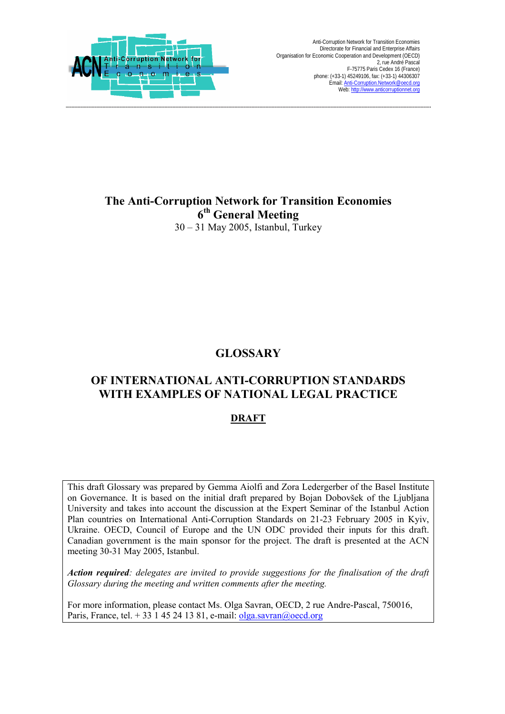

Anti-Corruption Network for Transition Economies Directorate for Financial and Enterprise Affairs Organisation for Economic Cooperation and Development (OECD) 2, rue André Pascal F-75775 Paris Cedex 16 (France) phone: (+33-1) 45249106, fax: (+33-1) 44306307 Email: Anti-Corruption.Ne Web: http://www.anticorru

# **The Anti-Corruption Network for Transition Economies 6th General Meeting**

30 – 31 May 2005, Istanbul, Turkey

# **GLOSSARY**

# **OF INTERNATIONAL ANTI-CORRUPTION STANDARDS WITH EXAMPLES OF NATIONAL LEGAL PRACTICE**

# **DRAFT**

This draft Glossary was prepared by Gemma Aiolfi and Zora Ledergerber of the Basel Institute on Governance. It is based on the initial draft prepared by Bojan Dobovšek of the Ljubljana University and takes into account the discussion at the Expert Seminar of the Istanbul Action Plan countries on International Anti-Corruption Standards on 21-23 February 2005 in Kyiv, Ukraine. OECD, Council of Europe and the UN ODC provided their inputs for this draft. Canadian government is the main sponsor for the project. The draft is presented at the ACN meeting 30-31 May 2005, Istanbul.

*Action required: delegates are invited to provide suggestions for the finalisation of the draft Glossary during the meeting and written comments after the meeting.* 

For more information, please contact Ms. Olga Savran, OECD, 2 rue Andre-Pascal, 750016, Paris, France, tel. + 33 1 45 24 13 81, e-mail:  $olga.savran@oecd.org$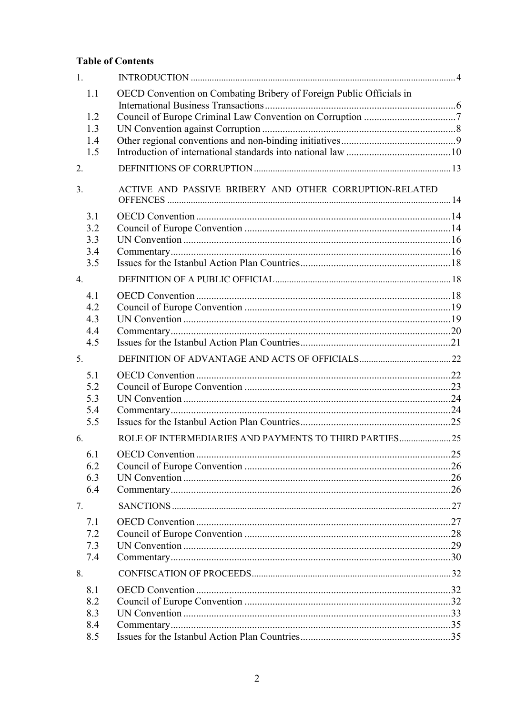# **Table of Contents**

| 1.               |                                                                     |  |
|------------------|---------------------------------------------------------------------|--|
| 1.1              | OECD Convention on Combating Bribery of Foreign Public Officials in |  |
| 1.2              |                                                                     |  |
| 1.3              |                                                                     |  |
| 1.4<br>1.5       |                                                                     |  |
|                  |                                                                     |  |
| 2.               |                                                                     |  |
| 3.               | ACTIVE AND PASSIVE BRIBERY AND OTHER CORRUPTION-RELATED             |  |
| 3.1              |                                                                     |  |
| 3.2              |                                                                     |  |
| 3.3              |                                                                     |  |
| 3.4              |                                                                     |  |
| 3.5              |                                                                     |  |
| $\overline{4}$ . |                                                                     |  |
| 4.1              |                                                                     |  |
| 4.2              |                                                                     |  |
| 4.3              |                                                                     |  |
| 4.4              |                                                                     |  |
| 4.5              |                                                                     |  |
| 5.               |                                                                     |  |
| 5.1              |                                                                     |  |
| 5.2              |                                                                     |  |
| 5.3<br>5.4       |                                                                     |  |
| 5.5              |                                                                     |  |
| 6.               |                                                                     |  |
| 6.1              |                                                                     |  |
| 6.2              |                                                                     |  |
| 6.3              |                                                                     |  |
| 6.4              |                                                                     |  |
| 7.               |                                                                     |  |
| 7.1              |                                                                     |  |
| 7.2              |                                                                     |  |
| 7.3              |                                                                     |  |
| 7.4              |                                                                     |  |
| 8.               |                                                                     |  |
| 8.1              |                                                                     |  |
| 8.2              |                                                                     |  |
| 8.3              |                                                                     |  |
| 8.4              |                                                                     |  |
| 8.5              |                                                                     |  |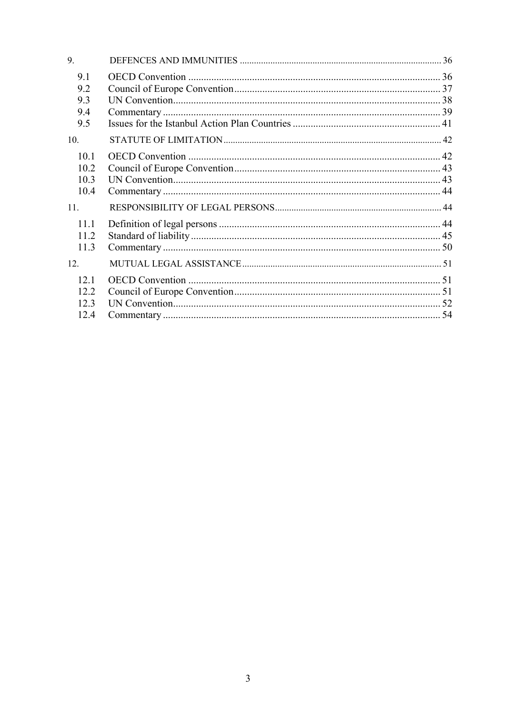| 9.                              |  |
|---------------------------------|--|
| 9.1<br>9.2<br>9.3<br>9.4<br>9.5 |  |
| 10.                             |  |
| 10.1<br>10.2<br>10.3<br>10.4    |  |
| 11.                             |  |
| 11.1<br>11.2<br>11.3            |  |
| 12 <sub>1</sub>                 |  |
| 12.1<br>12.2<br>12.3            |  |
| 12.4                            |  |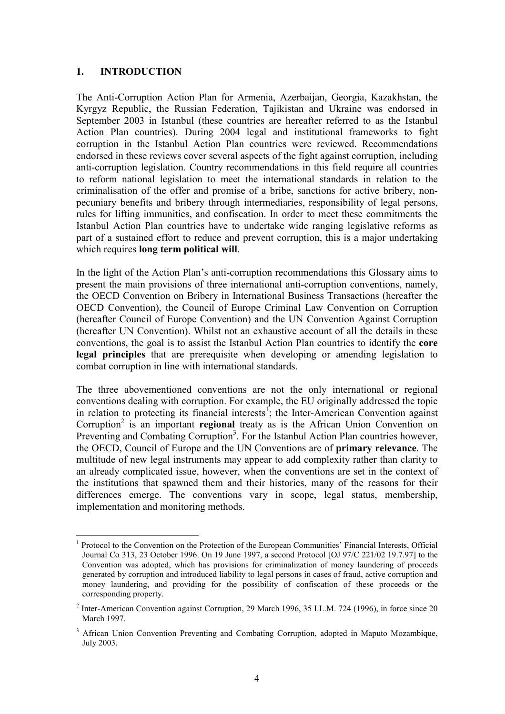#### **1. INTRODUCTION**

The Anti-Corruption Action Plan for Armenia, Azerbaijan, Georgia, Kazakhstan, the Kyrgyz Republic, the Russian Federation, Tajikistan and Ukraine was endorsed in September 2003 in Istanbul (these countries are hereafter referred to as the Istanbul Action Plan countries). During 2004 legal and institutional frameworks to fight corruption in the Istanbul Action Plan countries were reviewed. Recommendations endorsed in these reviews cover several aspects of the fight against corruption, including anti-corruption legislation. Country recommendations in this field require all countries to reform national legislation to meet the international standards in relation to the criminalisation of the offer and promise of a bribe, sanctions for active bribery, nonpecuniary benefits and bribery through intermediaries, responsibility of legal persons, rules for lifting immunities, and confiscation. In order to meet these commitments the Istanbul Action Plan countries have to undertake wide ranging legislative reforms as part of a sustained effort to reduce and prevent corruption, this is a major undertaking which requires **long term political will**.

In the light of the Action Plan's anti-corruption recommendations this Glossary aims to present the main provisions of three international anti-corruption conventions, namely, the OECD Convention on Bribery in International Business Transactions (hereafter the OECD Convention), the Council of Europe Criminal Law Convention on Corruption (hereafter Council of Europe Convention) and the UN Convention Against Corruption (hereafter UN Convention). Whilst not an exhaustive account of all the details in these conventions, the goal is to assist the Istanbul Action Plan countries to identify the **core legal principles** that are prerequisite when developing or amending legislation to combat corruption in line with international standards.

The three abovementioned conventions are not the only international or regional conventions dealing with corruption. For example, the EU originally addressed the topic in relation to protecting its financial interests<sup>1</sup>; the Inter-American Convention against Corruption<sup>2</sup> is an important **regional** treaty as is the African Union Convention on Preventing and Combating Corruption<sup>3</sup>. For the Istanbul Action Plan countries however, the OECD, Council of Europe and the UN Conventions are of **primary relevance**. The multitude of new legal instruments may appear to add complexity rather than clarity to an already complicated issue, however, when the conventions are set in the context of the institutions that spawned them and their histories, many of the reasons for their differences emerge. The conventions vary in scope, legal status, membership, implementation and monitoring methods.

 $\overline{a}$ 1 Protocol to the Convention on the Protection of the European Communities' Financial Interests, Official Journal Co 313, 23 October 1996. On 19 June 1997, a second Protocol [OJ 97/C 221/02 19.7.97] to the Convention was adopted, which has provisions for criminalization of money laundering of proceeds generated by corruption and introduced liability to legal persons in cases of fraud, active corruption and money laundering, and providing for the possibility of confiscation of these proceeds or the corresponding property.

<sup>&</sup>lt;sup>2</sup> Inter-American Convention against Corruption, 29 March 1996, 35 I.L.M. 724 (1996), in force since 20 March 1997.

<sup>&</sup>lt;sup>3</sup> African Union Convention Preventing and Combating Corruption, adopted in Maputo Mozambique, July 2003.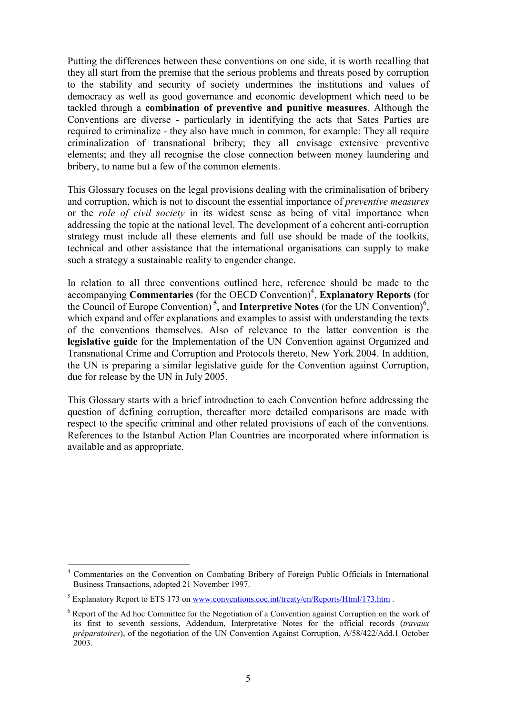Putting the differences between these conventions on one side, it is worth recalling that they all start from the premise that the serious problems and threats posed by corruption to the stability and security of society undermines the institutions and values of democracy as well as good governance and economic development which need to be tackled through a **combination of preventive and punitive measures**. Although the Conventions are diverse - particularly in identifying the acts that Sates Parties are required to criminalize - they also have much in common, for example: They all require criminalization of transnational bribery; they all envisage extensive preventive elements; and they all recognise the close connection between money laundering and bribery, to name but a few of the common elements.

This Glossary focuses on the legal provisions dealing with the criminalisation of bribery and corruption, which is not to discount the essential importance of *preventive measures*  or the *role of civil society* in its widest sense as being of vital importance when addressing the topic at the national level. The development of a coherent anti-corruption strategy must include all these elements and full use should be made of the toolkits, technical and other assistance that the international organisations can supply to make such a strategy a sustainable reality to engender change.

In relation to all three conventions outlined here, reference should be made to the accompanying **Commentaries** (for the OECD Convention)<sup>4</sup>, Explanatory Reports (for the Council of Europe Convention)<sup>5</sup>, and **Interpretive Notes** (for the UN Convention)<sup>6</sup>, which expand and offer explanations and examples to assist with understanding the texts of the conventions themselves. Also of relevance to the latter convention is the **legislative guide** for the Implementation of the UN Convention against Organized and Transnational Crime and Corruption and Protocols thereto, New York 2004. In addition, the UN is preparing a similar legislative guide for the Convention against Corruption, due for release by the UN in July 2005.

This Glossary starts with a brief introduction to each Convention before addressing the question of defining corruption, thereafter more detailed comparisons are made with respect to the specific criminal and other related provisions of each of the conventions. References to the Istanbul Action Plan Countries are incorporated where information is available and as appropriate.

 $\overline{a}$ 4 Commentaries on the Convention on Combating Bribery of Foreign Public Officials in International Business Transactions, adopted 21 November 1997.

 $<sup>5</sup>$  Explanatory Report to ETS 173 on www.conventions.coe.int/treaty/en/Reports/Html/173.htm.</sup>

<sup>&</sup>lt;sup>6</sup> Report of the Ad hoc Committee for the Negotiation of a Convention against Corruption on the work of its first to seventh sessions, Addendum, Interpretative Notes for the official records (*travaux préparatoires*), of the negotiation of the UN Convention Against Corruption, A/58/422/Add.1 October 2003.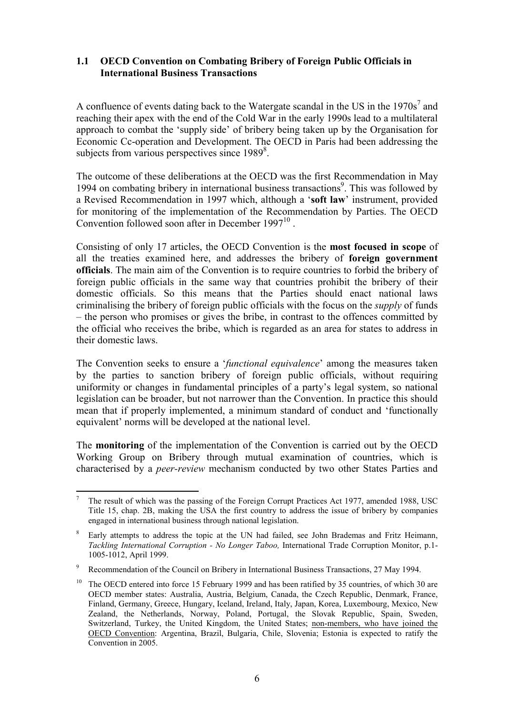#### **1.1 OECD Convention on Combating Bribery of Foreign Public Officials in International Business Transactions**

A confluence of events dating back to the Watergate scandal in the US in the  $1970s<sup>7</sup>$  and reaching their apex with the end of the Cold War in the early 1990s lead to a multilateral approach to combat the 'supply side' of bribery being taken up by the Organisation for Economic Cc-operation and Development. The OECD in Paris had been addressing the subjects from various perspectives since 1989<sup>8</sup>.

The outcome of these deliberations at the OECD was the first Recommendation in May 1994 on combating bribery in international business transactions<sup>9</sup>. This was followed by a Revised Recommendation in 1997 which, although a '**soft law**' instrument, provided for monitoring of the implementation of the Recommendation by Parties. The OECD Convention followed soon after in December  $1997<sup>10</sup>$ .

Consisting of only 17 articles, the OECD Convention is the **most focused in scope** of all the treaties examined here, and addresses the bribery of **foreign government officials**. The main aim of the Convention is to require countries to forbid the bribery of foreign public officials in the same way that countries prohibit the bribery of their domestic officials. So this means that the Parties should enact national laws criminalising the bribery of foreign public officials with the focus on the *supply* of funds – the person who promises or gives the bribe, in contrast to the offences committed by the official who receives the bribe, which is regarded as an area for states to address in their domestic laws.

The Convention seeks to ensure a '*functional equivalence*' among the measures taken by the parties to sanction bribery of foreign public officials, without requiring uniformity or changes in fundamental principles of a party's legal system, so national legislation can be broader, but not narrower than the Convention. In practice this should mean that if properly implemented, a minimum standard of conduct and 'functionally equivalent' norms will be developed at the national level.

The **monitoring** of the implementation of the Convention is carried out by the OECD Working Group on Bribery through mutual examination of countries, which is characterised by a *peer-review* mechanism conducted by two other States Parties and

 7 The result of which was the passing of the Foreign Corrupt Practices Act 1977, amended 1988, USC Title 15, chap. 2B, making the USA the first country to address the issue of bribery by companies engaged in international business through national legislation.

<sup>&</sup>lt;sup>8</sup> Early attempts to address the topic at the UN had failed, see John Brademas and Fritz Heimann, *Tackling International Corruption - No Longer Taboo,* International Trade Corruption Monitor, p.1- 1005-1012, April 1999.

<sup>9</sup> Recommendation of the Council on Bribery in International Business Transactions, 27 May 1994.

<sup>&</sup>lt;sup>10</sup> The OECD entered into force 15 February 1999 and has been ratified by 35 countries, of which 30 are OECD member states: Australia, Austria, Belgium, Canada, the Czech Republic, Denmark, France, Finland, Germany, Greece, Hungary, Iceland, Ireland, Italy, Japan, Korea, Luxembourg, Mexico, New Zealand, the Netherlands, Norway, Poland, Portugal, the Slovak Republic, Spain, Sweden, Switzerland, Turkey, the United Kingdom, the United States; non-members, who have joined the OECD Convention: Argentina, Brazil, Bulgaria, Chile, Slovenia; Estonia is expected to ratify the Convention in 2005.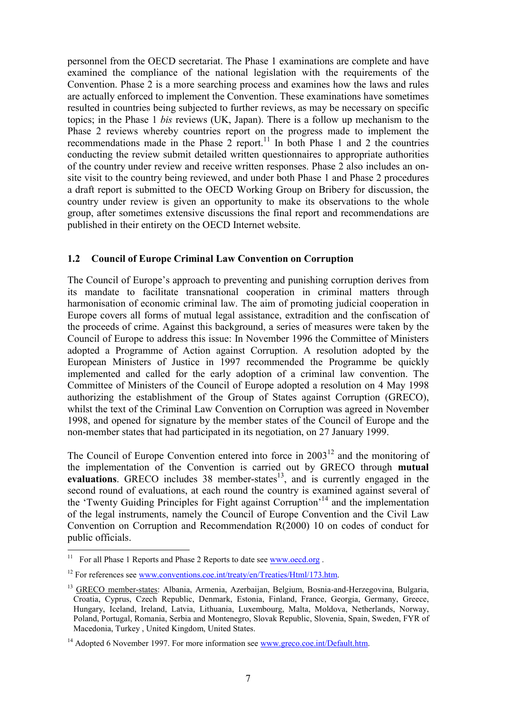personnel from the OECD secretariat. The Phase 1 examinations are complete and have examined the compliance of the national legislation with the requirements of the Convention. Phase 2 is a more searching process and examines how the laws and rules are actually enforced to implement the Convention. These examinations have sometimes resulted in countries being subjected to further reviews, as may be necessary on specific topics; in the Phase 1 *bis* reviews (UK, Japan). There is a follow up mechanism to the Phase 2 reviews whereby countries report on the progress made to implement the recommendations made in the Phase  $2$  report.<sup>11</sup> In both Phase 1 and 2 the countries conducting the review submit detailed written questionnaires to appropriate authorities of the country under review and receive written responses. Phase 2 also includes an onsite visit to the country being reviewed, and under both Phase 1 and Phase 2 procedures a draft report is submitted to the OECD Working Group on Bribery for discussion, the country under review is given an opportunity to make its observations to the whole group, after sometimes extensive discussions the final report and recommendations are published in their entirety on the OECD Internet website.

#### **1.2 Council of Europe Criminal Law Convention on Corruption**

The Council of Europe's approach to preventing and punishing corruption derives from its mandate to facilitate transnational cooperation in criminal matters through harmonisation of economic criminal law. The aim of promoting judicial cooperation in Europe covers all forms of mutual legal assistance, extradition and the confiscation of the proceeds of crime. Against this background, a series of measures were taken by the Council of Europe to address this issue: In November 1996 the Committee of Ministers adopted a Programme of Action against Corruption. A resolution adopted by the European Ministers of Justice in 1997 recommended the Programme be quickly implemented and called for the early adoption of a criminal law convention. The Committee of Ministers of the Council of Europe adopted a resolution on 4 May 1998 authorizing the establishment of the Group of States against Corruption (GRECO), whilst the text of the Criminal Law Convention on Corruption was agreed in November 1998, and opened for signature by the member states of the Council of Europe and the non-member states that had participated in its negotiation, on 27 January 1999.

The Council of Europe Convention entered into force in  $2003<sup>12</sup>$  and the monitoring of the implementation of the Convention is carried out by GRECO through **mutual evaluations**. GRECO includes 38 member-states<sup>13</sup>, and is currently engaged in the second round of evaluations, at each round the country is examined against several of the 'Twenty Guiding Principles for Fight against Corruption'14 and the implementation of the legal instruments, namely the Council of Europe Convention and the Civil Law Convention on Corruption and Recommendation R(2000) 10 on codes of conduct for public officials.

<sup>11</sup> For all Phase 1 Reports and Phase 2 Reports to date see www.oecd.org .

<sup>&</sup>lt;sup>12</sup> For references see www.conventions.coe.int/treaty/en/Treaties/Html/173.htm.

<sup>&</sup>lt;sup>13</sup> GRECO member-states: Albania, Armenia, Azerbaijan, Belgium, Bosnia-and-Herzegovina, Bulgaria, Croatia, Cyprus, Czech Republic, Denmark, Estonia, Finland, France, Georgia, Germany, Greece, Hungary, Iceland, Ireland, Latvia, Lithuania, Luxembourg, Malta, Moldova, Netherlands, Norway, Poland, Portugal, Romania, Serbia and Montenegro, Slovak Republic, Slovenia, Spain, Sweden, FYR of Macedonia, Turkey , United Kingdom, United States.

<sup>&</sup>lt;sup>14</sup> Adonted 6 November 1997. For more information see www.greco.coe.int/Default.htm.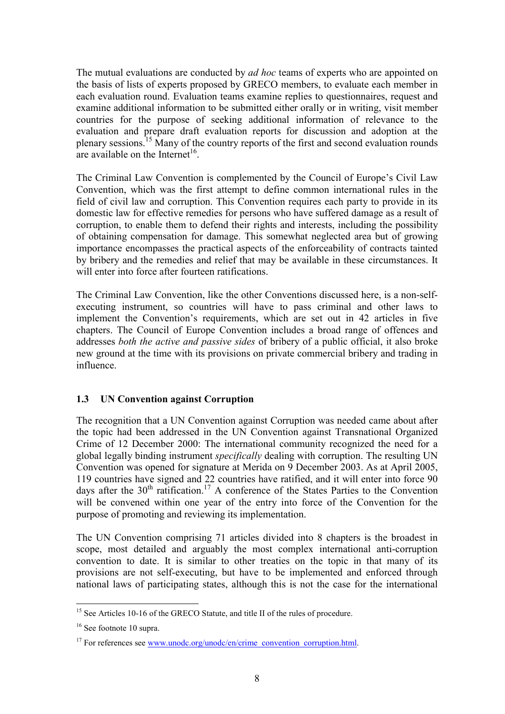The mutual evaluations are conducted by *ad hoc* teams of experts who are appointed on the basis of lists of experts proposed by GRECO members, to evaluate each member in each evaluation round. Evaluation teams examine replies to questionnaires, request and examine additional information to be submitted either orally or in writing, visit member countries for the purpose of seeking additional information of relevance to the evaluation and prepare draft evaluation reports for discussion and adoption at the plenary sessions.15 Many of the country reports of the first and second evaluation rounds are available on the Internet<sup>16</sup>

The Criminal Law Convention is complemented by the Council of Europe's Civil Law Convention, which was the first attempt to define common international rules in the field of civil law and corruption. This Convention requires each party to provide in its domestic law for effective remedies for persons who have suffered damage as a result of corruption, to enable them to defend their rights and interests, including the possibility of obtaining compensation for damage. This somewhat neglected area but of growing importance encompasses the practical aspects of the enforceability of contracts tainted by bribery and the remedies and relief that may be available in these circumstances. It will enter into force after fourteen ratifications.

The Criminal Law Convention, like the other Conventions discussed here, is a non-selfexecuting instrument, so countries will have to pass criminal and other laws to implement the Convention's requirements, which are set out in 42 articles in five chapters. The Council of Europe Convention includes a broad range of offences and addresses *both the active and passive sides* of bribery of a public official, it also broke new ground at the time with its provisions on private commercial bribery and trading in influence.

#### **1.3 UN Convention against Corruption**

The recognition that a UN Convention against Corruption was needed came about after the topic had been addressed in the UN Convention against Transnational Organized Crime of 12 December 2000: The international community recognized the need for a global legally binding instrument *specifically* dealing with corruption. The resulting UN Convention was opened for signature at Merida on 9 December 2003. As at April 2005, 119 countries have signed and 22 countries have ratified, and it will enter into force 90 days after the 30<sup>th</sup> ratification.<sup>17</sup> A conference of the States Parties to the Convention will be convened within one year of the entry into force of the Convention for the purpose of promoting and reviewing its implementation.

The UN Convention comprising 71 articles divided into 8 chapters is the broadest in scope, most detailed and arguably the most complex international anti-corruption convention to date. It is similar to other treaties on the topic in that many of its provisions are not self-executing, but have to be implemented and enforced through national laws of participating states, although this is not the case for the international

<sup>&</sup>lt;sup>15</sup> See Articles 10-16 of the GRECO Statute, and title II of the rules of procedure.

<sup>16</sup> See footnote 10 supra.

 $17$  For references see www.unodc.org/unodc/en/crime\_convention\_corruption.html.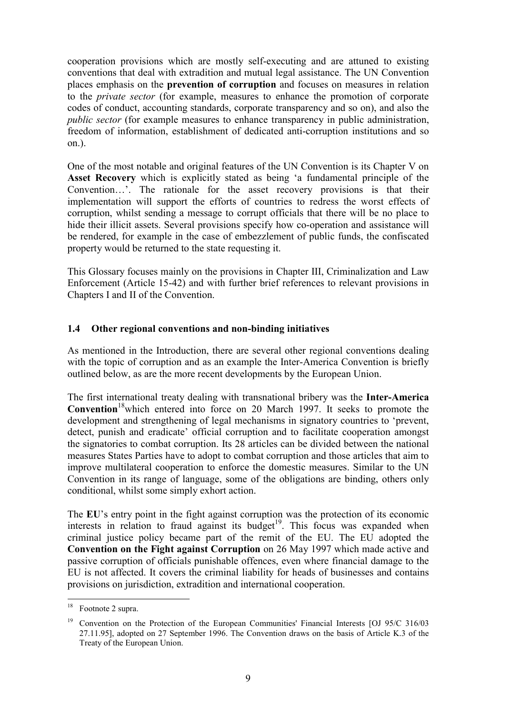cooperation provisions which are mostly self-executing and are attuned to existing conventions that deal with extradition and mutual legal assistance. The UN Convention places emphasis on the **prevention of corruption** and focuses on measures in relation to the *private sector* (for example, measures to enhance the promotion of corporate codes of conduct, accounting standards, corporate transparency and so on), and also the *public sector* (for example measures to enhance transparency in public administration, freedom of information, establishment of dedicated anti-corruption institutions and so on.).

One of the most notable and original features of the UN Convention is its Chapter V on **Asset Recovery** which is explicitly stated as being 'a fundamental principle of the Convention…'. The rationale for the asset recovery provisions is that their implementation will support the efforts of countries to redress the worst effects of corruption, whilst sending a message to corrupt officials that there will be no place to hide their illicit assets. Several provisions specify how co-operation and assistance will be rendered, for example in the case of embezzlement of public funds, the confiscated property would be returned to the state requesting it.

This Glossary focuses mainly on the provisions in Chapter III, Criminalization and Law Enforcement (Article 15-42) and with further brief references to relevant provisions in Chapters I and II of the Convention.

#### **1.4 Other regional conventions and non-binding initiatives**

As mentioned in the Introduction, there are several other regional conventions dealing with the topic of corruption and as an example the Inter-America Convention is briefly outlined below, as are the more recent developments by the European Union.

The first international treaty dealing with transnational bribery was the **Inter-America Convention**18which entered into force on 20 March 1997. It seeks to promote the development and strengthening of legal mechanisms in signatory countries to 'prevent, detect, punish and eradicate' official corruption and to facilitate cooperation amongst the signatories to combat corruption. Its 28 articles can be divided between the national measures States Parties have to adopt to combat corruption and those articles that aim to improve multilateral cooperation to enforce the domestic measures. Similar to the UN Convention in its range of language, some of the obligations are binding, others only conditional, whilst some simply exhort action.

The **EU**'s entry point in the fight against corruption was the protection of its economic interests in relation to fraud against its budget<sup>19</sup>. This focus was expanded when criminal justice policy became part of the remit of the EU. The EU adopted the **Convention on the Fight against Corruption** on 26 May 1997 which made active and passive corruption of officials punishable offences, even where financial damage to the EU is not affected. It covers the criminal liability for heads of businesses and contains provisions on jurisdiction, extradition and international cooperation.

 $18\,$ Footnote 2 supra.

<sup>19</sup> Convention on the Protection of the European Communities' Financial Interests [OJ 95/C 316/03 27.11.95], adopted on 27 September 1996. The Convention draws on the basis of Article K.3 of the Treaty of the European Union.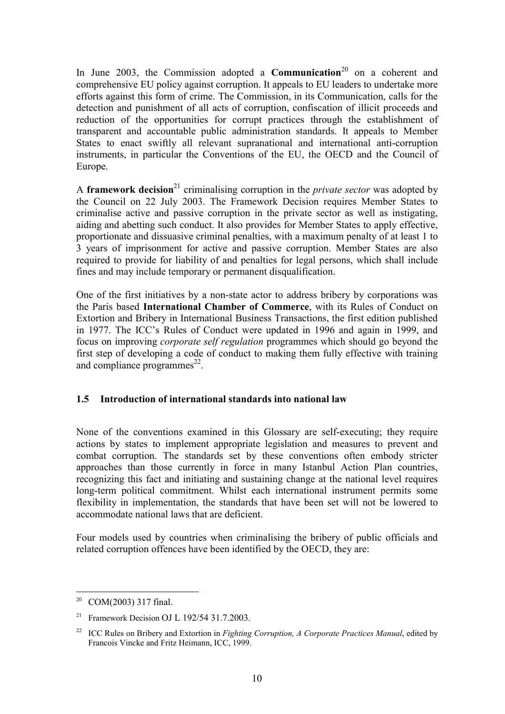In June 2003, the Commission adopted a **Communication**<sup>20</sup> on a coherent and comprehensive EU policy against corruption. It appeals to EU leaders to undertake more efforts against this form of crime. The Commission, in its Communication, calls for the detection and punishment of all acts of corruption, confiscation of illicit proceeds and reduction of the opportunities for corrupt practices through the establishment of transparent and accountable public administration standards. It appeals to Member States to enact swiftly all relevant supranational and international anti-corruption instruments, in particular the Conventions of the EU, the OECD and the Council of Europe.

A **framework decision**21 criminalising corruption in the *private sector* was adopted by the Council on 22 July 2003. The Framework Decision requires Member States to criminalise active and passive corruption in the private sector as well as instigating, aiding and abetting such conduct. It also provides for Member States to apply effective, proportionate and dissuasive criminal penalties, with a maximum penalty of at least 1 to 3 years of imprisonment for active and passive corruption. Member States are also required to provide for liability of and penalties for legal persons, which shall include fines and may include temporary or permanent disqualification.

One of the first initiatives by a non-state actor to address bribery by corporations was the Paris based **International Chamber of Commerce**, with its Rules of Conduct on Extortion and Bribery in International Business Transactions, the first edition published in 1977. The ICC's Rules of Conduct were updated in 1996 and again in 1999, and focus on improving *corporate self regulation* programmes which should go beyond the first step of developing a code of conduct to making them fully effective with training and compliance programmes $^{22}$ .

#### **1.5 Introduction of international standards into national law**

None of the conventions examined in this Glossary are self-executing; they require actions by states to implement appropriate legislation and measures to prevent and combat corruption. The standards set by these conventions often embody stricter approaches than those currently in force in many Istanbul Action Plan countries, recognizing this fact and initiating and sustaining change at the national level requires long-term political commitment. Whilst each international instrument permits some flexibility in implementation, the standards that have been set will not be lowered to accommodate national laws that are deficient.

Four models used by countries when criminalising the bribery of public officials and related corruption offences have been identified by the OECD, they are:

<sup>20</sup> COM(2003) 317 final.

<sup>&</sup>lt;sup>21</sup> Framework Decision OJ L 192/54 31.7.2003.

<sup>22</sup> ICC Rules on Bribery and Extortion in *Fighting Corruption, A Corporate Practices Manual*, edited by Francois Vincke and Fritz Heimann, ICC, 1999.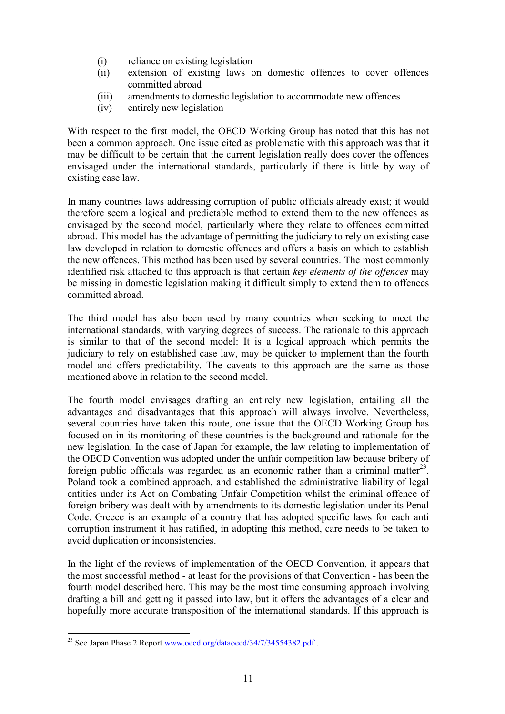- (i) reliance on existing legislation
- (ii) extension of existing laws on domestic offences to cover offences committed abroad
- (iii) amendments to domestic legislation to accommodate new offences
- (iv) entirely new legislation

With respect to the first model, the OECD Working Group has noted that this has not been a common approach. One issue cited as problematic with this approach was that it may be difficult to be certain that the current legislation really does cover the offences envisaged under the international standards, particularly if there is little by way of existing case law.

In many countries laws addressing corruption of public officials already exist; it would therefore seem a logical and predictable method to extend them to the new offences as envisaged by the second model, particularly where they relate to offences committed abroad. This model has the advantage of permitting the judiciary to rely on existing case law developed in relation to domestic offences and offers a basis on which to establish the new offences. This method has been used by several countries. The most commonly identified risk attached to this approach is that certain *key elements of the offences* may be missing in domestic legislation making it difficult simply to extend them to offences committed abroad.

The third model has also been used by many countries when seeking to meet the international standards, with varying degrees of success. The rationale to this approach is similar to that of the second model: It is a logical approach which permits the judiciary to rely on established case law, may be quicker to implement than the fourth model and offers predictability. The caveats to this approach are the same as those mentioned above in relation to the second model

The fourth model envisages drafting an entirely new legislation, entailing all the advantages and disadvantages that this approach will always involve. Nevertheless, several countries have taken this route, one issue that the OECD Working Group has focused on in its monitoring of these countries is the background and rationale for the new legislation. In the case of Japan for example, the law relating to implementation of the OECD Convention was adopted under the unfair competition law because bribery of foreign public officials was regarded as an economic rather than a criminal matter  $23$ . Poland took a combined approach, and established the administrative liability of legal entities under its Act on Combating Unfair Competition whilst the criminal offence of foreign bribery was dealt with by amendments to its domestic legislation under its Penal Code. Greece is an example of a country that has adopted specific laws for each anti corruption instrument it has ratified, in adopting this method, care needs to be taken to avoid duplication or inconsistencies.

In the light of the reviews of implementation of the OECD Convention, it appears that the most successful method - at least for the provisions of that Convention - has been the fourth model described here. This may be the most time consuming approach involving drafting a bill and getting it passed into law, but it offers the advantages of a clear and hopefully more accurate transposition of the international standards. If this approach is

<sup>&</sup>lt;sup>23</sup> See Japan Phase 2 Report www.oecd.org/dataoecd/34/7/34554382.pdf.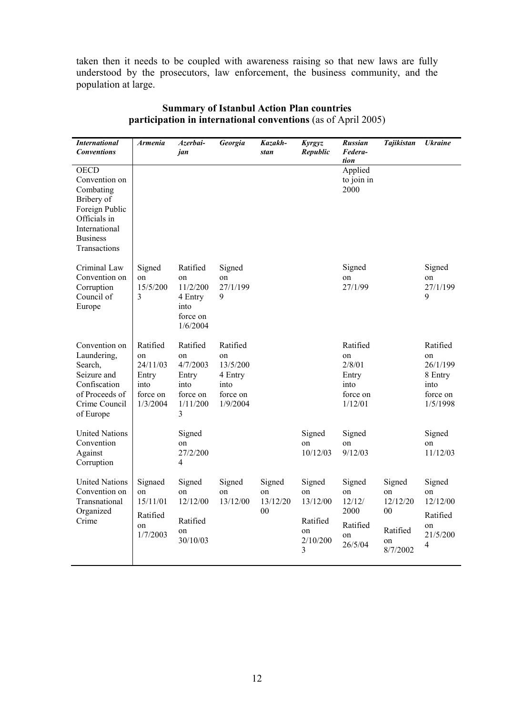taken then it needs to be coupled with awareness raising so that new laws are fully understood by the prosecutors, law enforcement, the business community, and the population at large.

| <b>International</b><br><b>Conventions</b>                                                                                                    | <b>Armenia</b>                                                      | Azerbai-<br>jan                                                          | Georgia                                                               | Kazakh-<br>stan                | Kyrgyz<br>Republic                                          | <b>Russian</b><br>Federa-<br>tion                                | <b>Tajikistan</b>                                            | <b><i>Ukraine</i></b>                                                 |
|-----------------------------------------------------------------------------------------------------------------------------------------------|---------------------------------------------------------------------|--------------------------------------------------------------------------|-----------------------------------------------------------------------|--------------------------------|-------------------------------------------------------------|------------------------------------------------------------------|--------------------------------------------------------------|-----------------------------------------------------------------------|
| <b>OECD</b><br>Convention on<br>Combating<br>Bribery of<br>Foreign Public<br>Officials in<br>International<br><b>Business</b><br>Transactions |                                                                     |                                                                          |                                                                       |                                |                                                             | Applied<br>to join in<br>2000                                    |                                                              |                                                                       |
| Criminal Law<br>Convention on<br>Corruption<br>Council of<br>Europe                                                                           | Signed<br>on<br>15/5/200<br>3                                       | Ratified<br>on<br>11/2/200<br>4 Entry<br>into<br>force on<br>1/6/2004    | Signed<br>on<br>27/1/199<br>9                                         |                                |                                                             | Signed<br>on<br>27/1/99                                          |                                                              | Signed<br>on<br>27/1/199<br>9                                         |
| Convention on<br>Laundering,<br>Search,<br>Seizure and<br>Confiscation<br>of Proceeds of<br>Crime Council<br>of Europe                        | Ratified<br>on<br>24/11/03<br>Entry<br>into<br>force on<br>1/3/2004 | Ratified<br>on<br>4/7/2003<br>Entry<br>into<br>force on<br>1/11/200<br>3 | Ratified<br>on<br>13/5/200<br>4 Entry<br>into<br>force on<br>1/9/2004 |                                |                                                             | Ratified<br>on<br>2/8/01<br>Entry<br>into<br>force on<br>1/12/01 |                                                              | Ratified<br>on<br>26/1/199<br>8 Entry<br>into<br>force on<br>1/5/1998 |
| <b>United Nations</b><br>Convention<br>Against<br>Corruption                                                                                  |                                                                     | Signed<br>on<br>27/2/200<br>4                                            |                                                                       |                                | Signed<br>on<br>10/12/03                                    | Signed<br>on<br>9/12/03                                          |                                                              | Signed<br>on<br>11/12/03                                              |
| <b>United Nations</b><br>Convention on<br>Transnational<br>Organized<br>Crime                                                                 | Signaed<br>on<br>15/11/01<br>Ratified<br>on<br>1/7/2003             | Signed<br>on<br>12/12/00<br>Ratified<br>on<br>30/10/03                   | Signed<br>on<br>13/12/00                                              | Signed<br>on<br>13/12/20<br>00 | Signed<br>on<br>13/12/00<br>Ratified<br>on<br>2/10/200<br>3 | Signed<br>on<br>12/12/<br>2000<br>Ratified<br>on<br>26/5/04      | Signed<br>on<br>12/12/20<br>00<br>Ratified<br>on<br>8/7/2002 | Signed<br>on<br>12/12/00<br>Ratified<br>on<br>21/5/200<br>4           |

# **Summary of Istanbul Action Plan countries participation in international conventions** (as of April 2005)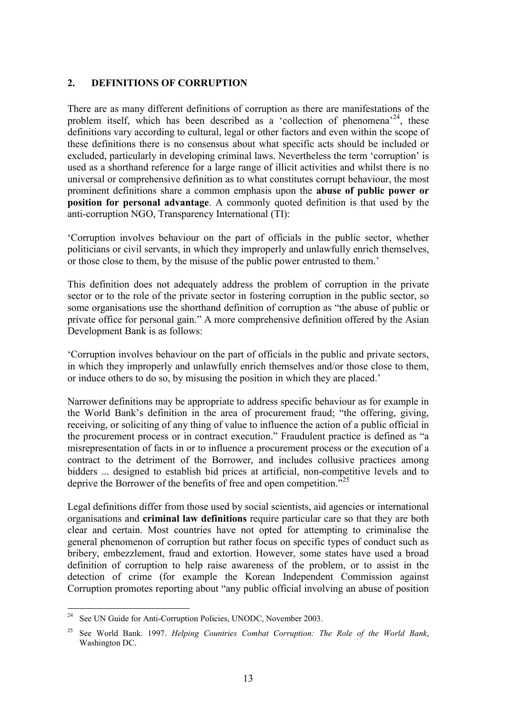# **2. DEFINITIONS OF CORRUPTION**

There are as many different definitions of corruption as there are manifestations of the problem itself, which has been described as a 'collection of phenomena<sup>24</sup>, these definitions vary according to cultural, legal or other factors and even within the scope of these definitions there is no consensus about what specific acts should be included or excluded, particularly in developing criminal laws. Nevertheless the term 'corruption' is used as a shorthand reference for a large range of illicit activities and whilst there is no universal or comprehensive definition as to what constitutes corrupt behaviour, the most prominent definitions share a common emphasis upon the **abuse of public power or position for personal advantage**. A commonly quoted definition is that used by the anti-corruption NGO, Transparency International (TI):

'Corruption involves behaviour on the part of officials in the public sector, whether politicians or civil servants, in which they improperly and unlawfully enrich themselves, or those close to them, by the misuse of the public power entrusted to them.'

This definition does not adequately address the problem of corruption in the private sector or to the role of the private sector in fostering corruption in the public sector, so some organisations use the shorthand definition of corruption as "the abuse of public or private office for personal gain." A more comprehensive definition offered by the Asian Development Bank is as follows:

'Corruption involves behaviour on the part of officials in the public and private sectors, in which they improperly and unlawfully enrich themselves and/or those close to them, or induce others to do so, by misusing the position in which they are placed.'

Narrower definitions may be appropriate to address specific behaviour as for example in the World Bank's definition in the area of procurement fraud; "the offering, giving, receiving, or soliciting of any thing of value to influence the action of a public official in the procurement process or in contract execution." Fraudulent practice is defined as "a misrepresentation of facts in or to influence a procurement process or the execution of a contract to the detriment of the Borrower, and includes collusive practices among bidders ... designed to establish bid prices at artificial, non-competitive levels and to deprive the Borrower of the benefits of free and open competition.<sup>725</sup>

Legal definitions differ from those used by social scientists, aid agencies or international organisations and **criminal law definitions** require particular care so that they are both clear and certain. Most countries have not opted for attempting to criminalise the general phenomenon of corruption but rather focus on specific types of conduct such as bribery, embezzlement, fraud and extortion. However, some states have used a broad definition of corruption to help raise awareness of the problem, or to assist in the detection of crime (for example the Korean Independent Commission against Corruption promotes reporting about "any public official involving an abuse of position

 $24$ See UN Guide for Anti-Corruption Policies, UNODC, November 2003.

<sup>25</sup> See World Bank. 1997. *Helping Countries Combat Corruption: The Role of the World Bank*, Washington DC.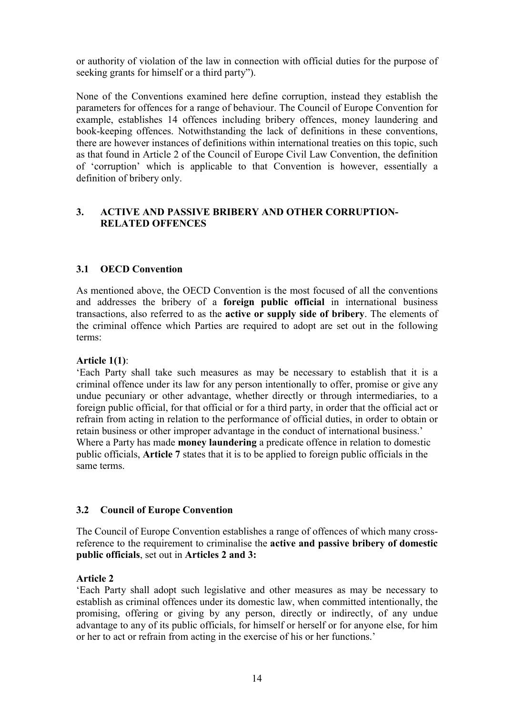or authority of violation of the law in connection with official duties for the purpose of seeking grants for himself or a third party").

None of the Conventions examined here define corruption, instead they establish the parameters for offences for a range of behaviour. The Council of Europe Convention for example, establishes 14 offences including bribery offences, money laundering and book-keeping offences. Notwithstanding the lack of definitions in these conventions, there are however instances of definitions within international treaties on this topic, such as that found in Article 2 of the Council of Europe Civil Law Convention, the definition of 'corruption' which is applicable to that Convention is however, essentially a definition of bribery only.

### **3. ACTIVE AND PASSIVE BRIBERY AND OTHER CORRUPTION-RELATED OFFENCES**

#### **3.1 OECD Convention**

As mentioned above, the OECD Convention is the most focused of all the conventions and addresses the bribery of a **foreign public official** in international business transactions, also referred to as the **active or supply side of bribery**. The elements of the criminal offence which Parties are required to adopt are set out in the following terms:

#### **Article 1(1)**:

'Each Party shall take such measures as may be necessary to establish that it is a criminal offence under its law for any person intentionally to offer, promise or give any undue pecuniary or other advantage, whether directly or through intermediaries, to a foreign public official, for that official or for a third party, in order that the official act or refrain from acting in relation to the performance of official duties, in order to obtain or retain business or other improper advantage in the conduct of international business.' Where a Party has made **money laundering** a predicate offence in relation to domestic public officials, **Article 7** states that it is to be applied to foreign public officials in the same terms.

# **3.2 Council of Europe Convention**

The Council of Europe Convention establishes a range of offences of which many crossreference to the requirement to criminalise the **active and passive bribery of domestic public officials**, set out in **Articles 2 and 3:** 

#### **Article 2**

'Each Party shall adopt such legislative and other measures as may be necessary to establish as criminal offences under its domestic law, when committed intentionally, the promising, offering or giving by any person, directly or indirectly, of any undue advantage to any of its public officials, for himself or herself or for anyone else, for him or her to act or refrain from acting in the exercise of his or her functions.'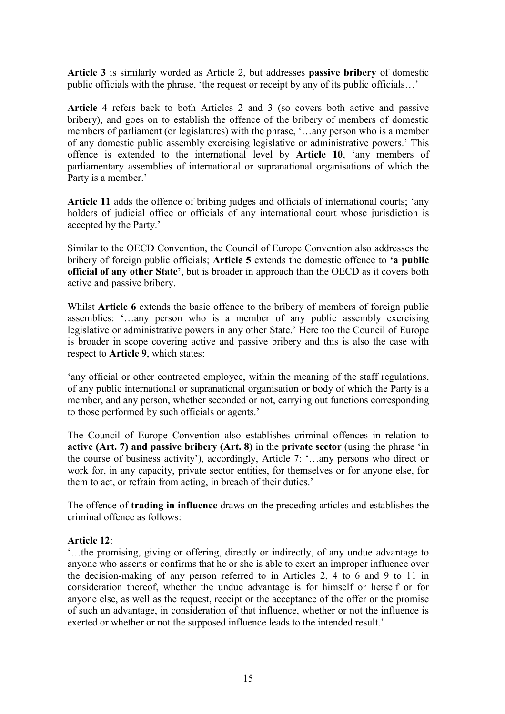**Article 3** is similarly worded as Article 2, but addresses **passive bribery** of domestic public officials with the phrase, 'the request or receipt by any of its public officials…'

**Article 4** refers back to both Articles 2 and 3 (so covers both active and passive bribery), and goes on to establish the offence of the bribery of members of domestic members of parliament (or legislatures) with the phrase, '…any person who is a member of any domestic public assembly exercising legislative or administrative powers.' This offence is extended to the international level by **Article 10**, 'any members of parliamentary assemblies of international or supranational organisations of which the Party is a member.'

**Article 11** adds the offence of bribing judges and officials of international courts; 'any holders of judicial office or officials of any international court whose jurisdiction is accepted by the Party.'

Similar to the OECD Convention, the Council of Europe Convention also addresses the bribery of foreign public officials; **Article 5** extends the domestic offence to **'a public official of any other State'**, but is broader in approach than the OECD as it covers both active and passive bribery.

Whilst **Article 6** extends the basic offence to the bribery of members of foreign public assemblies: '…any person who is a member of any public assembly exercising legislative or administrative powers in any other State.' Here too the Council of Europe is broader in scope covering active and passive bribery and this is also the case with respect to **Article 9**, which states:

'any official or other contracted employee, within the meaning of the staff regulations, of any public international or supranational organisation or body of which the Party is a member, and any person, whether seconded or not, carrying out functions corresponding to those performed by such officials or agents.'

The Council of Europe Convention also establishes criminal offences in relation to **active (Art. 7) and passive bribery (Art. 8)** in the **private sector** (using the phrase 'in the course of business activity'), accordingly, Article 7: '…any persons who direct or work for, in any capacity, private sector entities, for themselves or for anyone else, for them to act, or refrain from acting, in breach of their duties.'

The offence of **trading in influence** draws on the preceding articles and establishes the criminal offence as follows:

#### **Article 12**:

'…the promising, giving or offering, directly or indirectly, of any undue advantage to anyone who asserts or confirms that he or she is able to exert an improper influence over the decision-making of any person referred to in Articles 2, 4 to 6 and 9 to 11 in consideration thereof, whether the undue advantage is for himself or herself or for anyone else, as well as the request, receipt or the acceptance of the offer or the promise of such an advantage, in consideration of that influence, whether or not the influence is exerted or whether or not the supposed influence leads to the intended result.'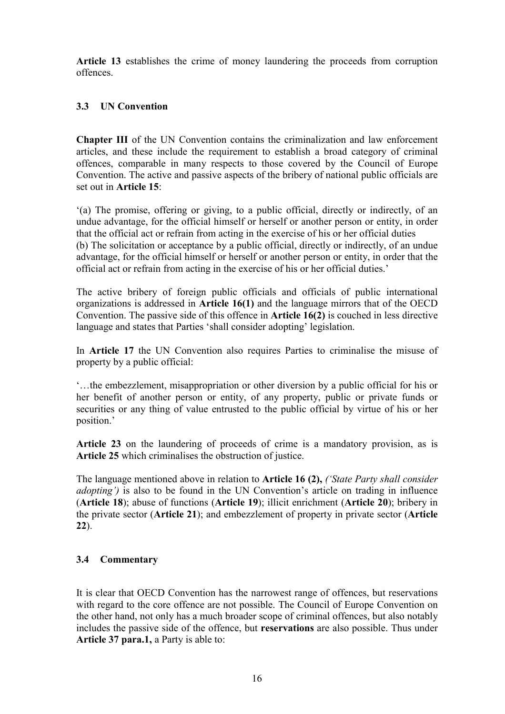**Article 13** establishes the crime of money laundering the proceeds from corruption offences.

# **3.3 UN Convention**

**Chapter III** of the UN Convention contains the criminalization and law enforcement articles, and these include the requirement to establish a broad category of criminal offences, comparable in many respects to those covered by the Council of Europe Convention. The active and passive aspects of the bribery of national public officials are set out in **Article 15**:

'(a) The promise, offering or giving, to a public official, directly or indirectly, of an undue advantage, for the official himself or herself or another person or entity, in order that the official act or refrain from acting in the exercise of his or her official duties (b) The solicitation or acceptance by a public official, directly or indirectly, of an undue advantage, for the official himself or herself or another person or entity, in order that the official act or refrain from acting in the exercise of his or her official duties.'

The active bribery of foreign public officials and officials of public international organizations is addressed in **Article 16(1)** and the language mirrors that of the OECD Convention. The passive side of this offence in **Article 16(2)** is couched in less directive language and states that Parties 'shall consider adopting' legislation.

In **Article 17** the UN Convention also requires Parties to criminalise the misuse of property by a public official:

'…the embezzlement, misappropriation or other diversion by a public official for his or her benefit of another person or entity, of any property, public or private funds or securities or any thing of value entrusted to the public official by virtue of his or her position.'

**Article 23** on the laundering of proceeds of crime is a mandatory provision, as is **Article 25** which criminalises the obstruction of justice.

The language mentioned above in relation to **Article 16 (2),** *('State Party shall consider adopting'*) is also to be found in the UN Convention's article on trading in influence (**Article 18**); abuse of functions (**Article 19**); illicit enrichment (**Article 20**); bribery in the private sector (**Article 21**); and embezzlement of property in private sector (**Article 22**).

# **3.4 Commentary**

It is clear that OECD Convention has the narrowest range of offences, but reservations with regard to the core offence are not possible. The Council of Europe Convention on the other hand, not only has a much broader scope of criminal offences, but also notably includes the passive side of the offence, but **reservations** are also possible. Thus under **Article 37 para.1,** a Party is able to: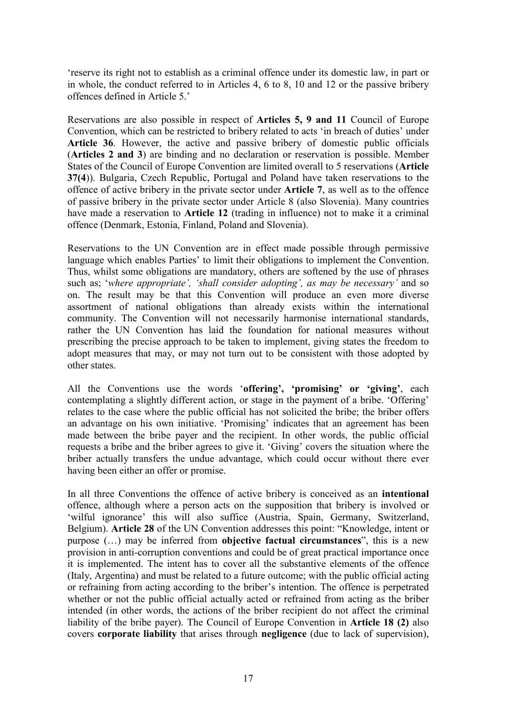'reserve its right not to establish as a criminal offence under its domestic law, in part or in whole, the conduct referred to in Articles 4, 6 to 8, 10 and 12 or the passive bribery offences defined in Article 5.'

Reservations are also possible in respect of **Articles 5, 9 and 11** Council of Europe Convention, which can be restricted to bribery related to acts 'in breach of duties' under **Article 36**. However, the active and passive bribery of domestic public officials (**Articles 2 and 3**) are binding and no declaration or reservation is possible. Member States of the Council of Europe Convention are limited overall to 5 reservations (**Article 37(4**)). Bulgaria, Czech Republic, Portugal and Poland have taken reservations to the offence of active bribery in the private sector under **Article 7**, as well as to the offence of passive bribery in the private sector under Article 8 (also Slovenia). Many countries have made a reservation to **Article 12** (trading in influence) not to make it a criminal offence (Denmark, Estonia, Finland, Poland and Slovenia).

Reservations to the UN Convention are in effect made possible through permissive language which enables Parties' to limit their obligations to implement the Convention. Thus, whilst some obligations are mandatory, others are softened by the use of phrases such as; '*where appropriate', 'shall consider adopting', as may be necessary'* and so on. The result may be that this Convention will produce an even more diverse assortment of national obligations than already exists within the international community. The Convention will not necessarily harmonise international standards, rather the UN Convention has laid the foundation for national measures without prescribing the precise approach to be taken to implement, giving states the freedom to adopt measures that may, or may not turn out to be consistent with those adopted by other states.

All the Conventions use the words '**offering', 'promising' or 'giving'**, each contemplating a slightly different action, or stage in the payment of a bribe. 'Offering' relates to the case where the public official has not solicited the bribe; the briber offers an advantage on his own initiative. 'Promising' indicates that an agreement has been made between the bribe payer and the recipient. In other words, the public official requests a bribe and the briber agrees to give it. 'Giving' covers the situation where the briber actually transfers the undue advantage, which could occur without there ever having been either an offer or promise.

In all three Conventions the offence of active bribery is conceived as an **intentional** offence, although where a person acts on the supposition that bribery is involved or 'wilful ignorance' this will also suffice (Austria, Spain, Germany, Switzerland, Belgium). **Article 28** of the UN Convention addresses this point: "Knowledge, intent or purpose (…) may be inferred from **objective factual circumstances**", this is a new provision in anti-corruption conventions and could be of great practical importance once it is implemented. The intent has to cover all the substantive elements of the offence (Italy, Argentina) and must be related to a future outcome; with the public official acting or refraining from acting according to the briber's intention. The offence is perpetrated whether or not the public official actually acted or refrained from acting as the briber intended (in other words, the actions of the briber recipient do not affect the criminal liability of the bribe payer). The Council of Europe Convention in **Article 18 (2)** also covers **corporate liability** that arises through **negligence** (due to lack of supervision),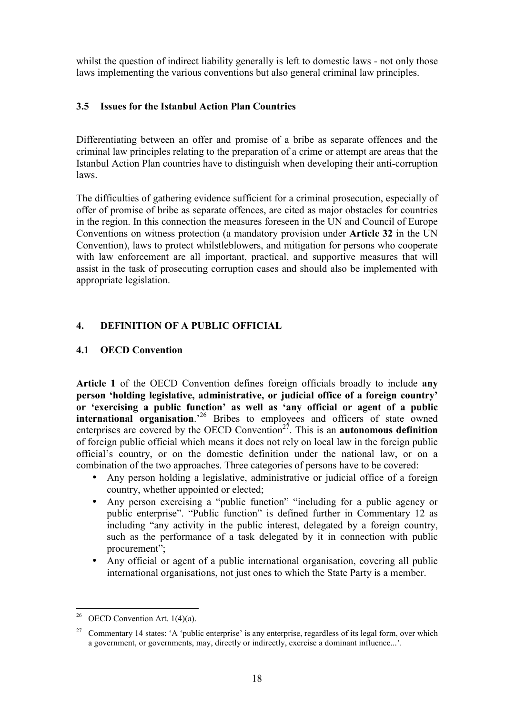whilst the question of indirect liability generally is left to domestic laws - not only those laws implementing the various conventions but also general criminal law principles.

# **3.5 Issues for the Istanbul Action Plan Countries**

Differentiating between an offer and promise of a bribe as separate offences and the criminal law principles relating to the preparation of a crime or attempt are areas that the Istanbul Action Plan countries have to distinguish when developing their anti-corruption laws.

The difficulties of gathering evidence sufficient for a criminal prosecution, especially of offer of promise of bribe as separate offences, are cited as major obstacles for countries in the region. In this connection the measures foreseen in the UN and Council of Europe Conventions on witness protection (a mandatory provision under **Article 32** in the UN Convention), laws to protect whilstleblowers, and mitigation for persons who cooperate with law enforcement are all important, practical, and supportive measures that will assist in the task of prosecuting corruption cases and should also be implemented with appropriate legislation.

# **4. DEFINITION OF A PUBLIC OFFICIAL**

# **4.1 OECD Convention**

**Article 1** of the OECD Convention defines foreign officials broadly to include **any person 'holding legislative, administrative, or judicial office of a foreign country' or 'exercising a public function' as well as 'any official or agent of a public international organisation**.<sup>26</sup> Bribes to employees and officers of state owned enterprises are covered by the OECD Convention<sup>27</sup>. This is an **autonomous definition** of foreign public official which means it does not rely on local law in the foreign public official's country, or on the domestic definition under the national law, or on a combination of the two approaches. Three categories of persons have to be covered:

- Any person holding a legislative, administrative or judicial office of a foreign country, whether appointed or elected;
- Any person exercising a "public function" "including for a public agency or public enterprise". "Public function" is defined further in Commentary 12 as including "any activity in the public interest, delegated by a foreign country, such as the performance of a task delegated by it in connection with public procurement";
- Any official or agent of a public international organisation, covering all public international organisations, not just ones to which the State Party is a member.

 $\overline{a}$ <sup>26</sup> OECD Convention Art.  $1(4)(a)$ .

<sup>&</sup>lt;sup>27</sup> Commentary 14 states: 'A 'public enterprise' is any enterprise, regardless of its legal form, over which a government, or governments, may, directly or indirectly, exercise a dominant influence...'.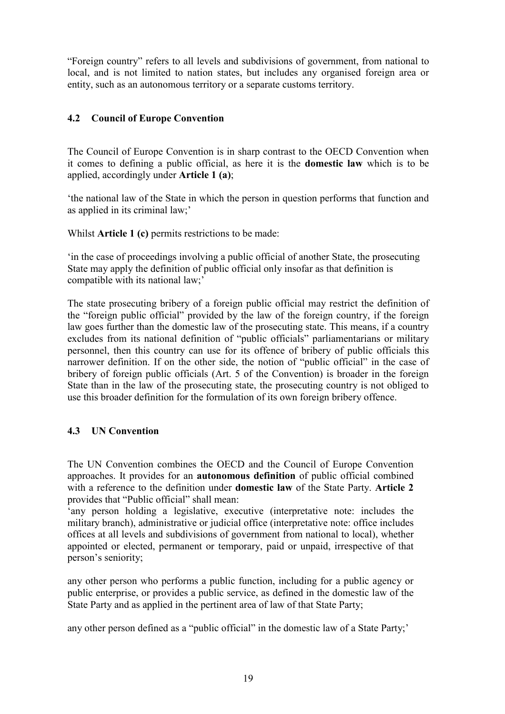"Foreign country" refers to all levels and subdivisions of government, from national to local, and is not limited to nation states, but includes any organised foreign area or entity, such as an autonomous territory or a separate customs territory.

# **4.2 Council of Europe Convention**

The Council of Europe Convention is in sharp contrast to the OECD Convention when it comes to defining a public official, as here it is the **domestic law** which is to be applied, accordingly under **Article 1 (a)**;

'the national law of the State in which the person in question performs that function and as applied in its criminal law;'

Whilst **Article 1 (c)** permits restrictions to be made:

'in the case of proceedings involving a public official of another State, the prosecuting State may apply the definition of public official only insofar as that definition is compatible with its national law;'

The state prosecuting bribery of a foreign public official may restrict the definition of the "foreign public official" provided by the law of the foreign country, if the foreign law goes further than the domestic law of the prosecuting state. This means, if a country excludes from its national definition of "public officials" parliamentarians or military personnel, then this country can use for its offence of bribery of public officials this narrower definition. If on the other side, the notion of "public official" in the case of bribery of foreign public officials (Art. 5 of the Convention) is broader in the foreign State than in the law of the prosecuting state, the prosecuting country is not obliged to use this broader definition for the formulation of its own foreign bribery offence.

#### **4.3 UN Convention**

The UN Convention combines the OECD and the Council of Europe Convention approaches. It provides for an **autonomous definition** of public official combined with a reference to the definition under **domestic law** of the State Party. **Article 2**  provides that "Public official" shall mean:

'any person holding a legislative, executive (interpretative note: includes the military branch), administrative or judicial office (interpretative note: office includes offices at all levels and subdivisions of government from national to local), whether appointed or elected, permanent or temporary, paid or unpaid, irrespective of that person's seniority;

any other person who performs a public function, including for a public agency or public enterprise, or provides a public service, as defined in the domestic law of the State Party and as applied in the pertinent area of law of that State Party;

any other person defined as a "public official" in the domestic law of a State Party;'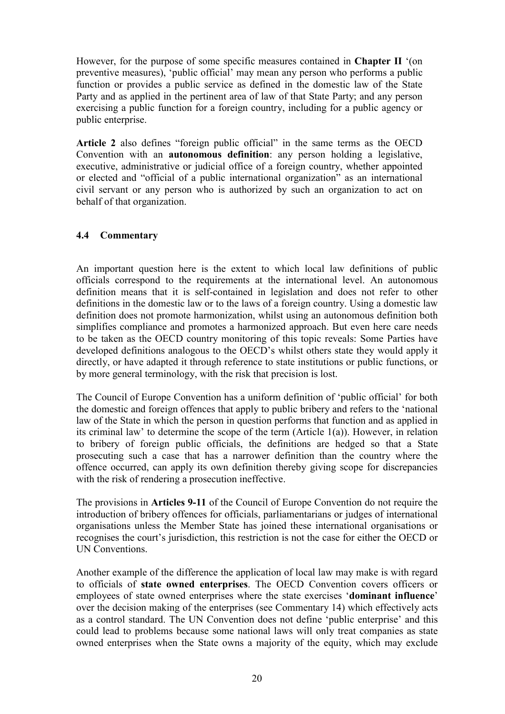However, for the purpose of some specific measures contained in **Chapter II** '(on preventive measures), 'public official' may mean any person who performs a public function or provides a public service as defined in the domestic law of the State Party and as applied in the pertinent area of law of that State Party; and any person exercising a public function for a foreign country, including for a public agency or public enterprise.

**Article 2** also defines "foreign public official" in the same terms as the OECD Convention with an **autonomous definition**: any person holding a legislative, executive, administrative or judicial office of a foreign country, whether appointed or elected and "official of a public international organization" as an international civil servant or any person who is authorized by such an organization to act on behalf of that organization.

# **4.4 Commentary**

An important question here is the extent to which local law definitions of public officials correspond to the requirements at the international level. An autonomous definition means that it is self-contained in legislation and does not refer to other definitions in the domestic law or to the laws of a foreign country. Using a domestic law definition does not promote harmonization, whilst using an autonomous definition both simplifies compliance and promotes a harmonized approach. But even here care needs to be taken as the OECD country monitoring of this topic reveals: Some Parties have developed definitions analogous to the OECD's whilst others state they would apply it directly, or have adapted it through reference to state institutions or public functions, or by more general terminology, with the risk that precision is lost.

The Council of Europe Convention has a uniform definition of 'public official' for both the domestic and foreign offences that apply to public bribery and refers to the 'national law of the State in which the person in question performs that function and as applied in its criminal law' to determine the scope of the term (Article 1(a)). However, in relation to bribery of foreign public officials, the definitions are hedged so that a State prosecuting such a case that has a narrower definition than the country where the offence occurred, can apply its own definition thereby giving scope for discrepancies with the risk of rendering a prosecution ineffective.

The provisions in **Articles 9-11** of the Council of Europe Convention do not require the introduction of bribery offences for officials, parliamentarians or judges of international organisations unless the Member State has joined these international organisations or recognises the court's jurisdiction, this restriction is not the case for either the OECD or UN Conventions.

Another example of the difference the application of local law may make is with regard to officials of **state owned enterprises**. The OECD Convention covers officers or employees of state owned enterprises where the state exercises '**dominant influence**' over the decision making of the enterprises (see Commentary 14) which effectively acts as a control standard. The UN Convention does not define 'public enterprise' and this could lead to problems because some national laws will only treat companies as state owned enterprises when the State owns a majority of the equity, which may exclude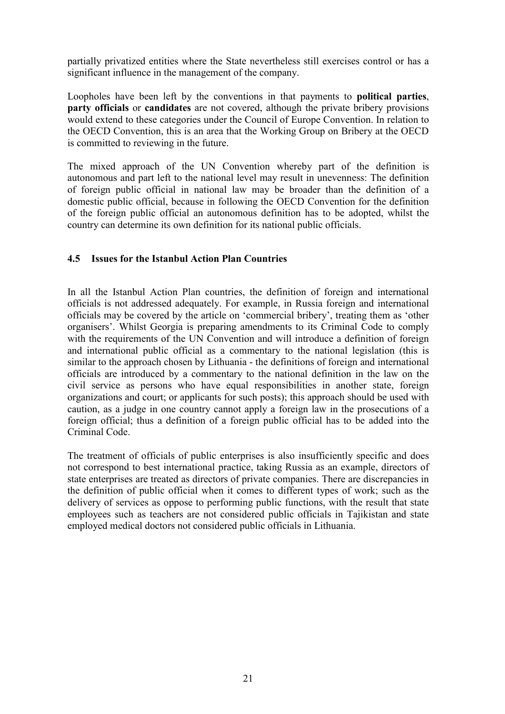partially privatized entities where the State nevertheless still exercises control or has a significant influence in the management of the company.

Loopholes have been left by the conventions in that payments to **political parties**, **party officials** or **candidates** are not covered, although the private bribery provisions would extend to these categories under the Council of Europe Convention. In relation to the OECD Convention, this is an area that the Working Group on Bribery at the OECD is committed to reviewing in the future.

The mixed approach of the UN Convention whereby part of the definition is autonomous and part left to the national level may result in unevenness: The definition of foreign public official in national law may be broader than the definition of a domestic public official, because in following the OECD Convention for the definition of the foreign public official an autonomous definition has to be adopted, whilst the country can determine its own definition for its national public officials.

# **4.5 Issues for the Istanbul Action Plan Countries**

In all the Istanbul Action Plan countries, the definition of foreign and international officials is not addressed adequately. For example, in Russia foreign and international officials may be covered by the article on 'commercial bribery', treating them as 'other organisers'. Whilst Georgia is preparing amendments to its Criminal Code to comply with the requirements of the UN Convention and will introduce a definition of foreign and international public official as a commentary to the national legislation (this is similar to the approach chosen by Lithuania - the definitions of foreign and international officials are introduced by a commentary to the national definition in the law on the civil service as persons who have equal responsibilities in another state, foreign organizations and court; or applicants for such posts); this approach should be used with caution, as a judge in one country cannot apply a foreign law in the prosecutions of a foreign official; thus a definition of a foreign public official has to be added into the Criminal Code.

The treatment of officials of public enterprises is also insufficiently specific and does not correspond to best international practice, taking Russia as an example, directors of state enterprises are treated as directors of private companies. There are discrepancies in the definition of public official when it comes to different types of work; such as the delivery of services as oppose to performing public functions, with the result that state employees such as teachers are not considered public officials in Tajikistan and state employed medical doctors not considered public officials in Lithuania.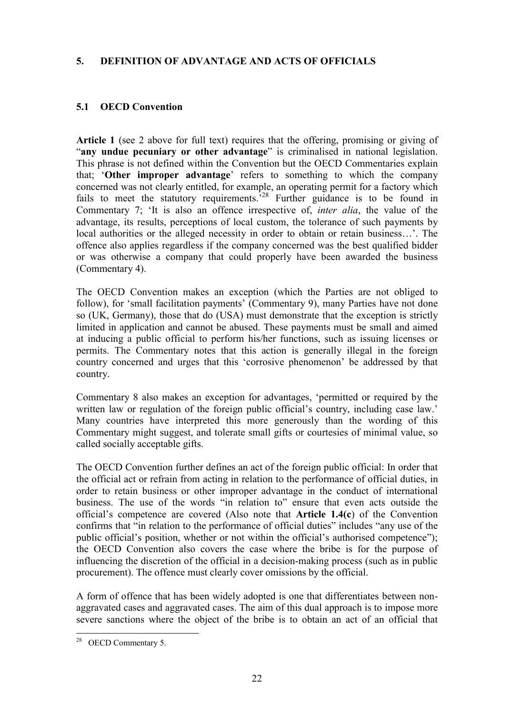### **5. DEFINITION OF ADVANTAGE AND ACTS OF OFFICIALS**

#### **5.1 OECD Convention**

**Article 1** (see 2 above for full text) requires that the offering, promising or giving of "any undue pecuniary or other advantage" is criminalised in national legislation. This phrase is not defined within the Convention but the OECD Commentaries explain that; '**Other improper advantage**' refers to something to which the company concerned was not clearly entitled, for example, an operating permit for a factory which fails to meet the statutory requirements.<sup>28</sup> Further guidance is to be found in Commentary 7; 'It is also an offence irrespective of, *inter alia*, the value of the advantage, its results, perceptions of local custom, the tolerance of such payments by local authorities or the alleged necessity in order to obtain or retain business…'. The offence also applies regardless if the company concerned was the best qualified bidder or was otherwise a company that could properly have been awarded the business (Commentary 4).

The OECD Convention makes an exception (which the Parties are not obliged to follow), for 'small facilitation payments' (Commentary 9), many Parties have not done so (UK, Germany), those that do (USA) must demonstrate that the exception is strictly limited in application and cannot be abused. These payments must be small and aimed at inducing a public official to perform his/her functions, such as issuing licenses or permits. The Commentary notes that this action is generally illegal in the foreign country concerned and urges that this 'corrosive phenomenon' be addressed by that country.

Commentary 8 also makes an exception for advantages, 'permitted or required by the written law or regulation of the foreign public official's country, including case law.' Many countries have interpreted this more generously than the wording of this Commentary might suggest, and tolerate small gifts or courtesies of minimal value, so called socially acceptable gifts.

The OECD Convention further defines an act of the foreign public official: In order that the official act or refrain from acting in relation to the performance of official duties, in order to retain business or other improper advantage in the conduct of international business. The use of the words "in relation to" ensure that even acts outside the official's competence are covered (Also note that **Article 1.4(c**) of the Convention confirms that "in relation to the performance of official duties" includes "any use of the public official's position, whether or not within the official's authorised competence"); the OECD Convention also covers the case where the bribe is for the purpose of influencing the discretion of the official in a decision-making process (such as in public procurement). The offence must clearly cover omissions by the official.

A form of offence that has been widely adopted is one that differentiates between nonaggravated cases and aggravated cases. The aim of this dual approach is to impose more severe sanctions where the object of the bribe is to obtain an act of an official that

<sup>&</sup>lt;sup>28</sup> OECD Commentary 5.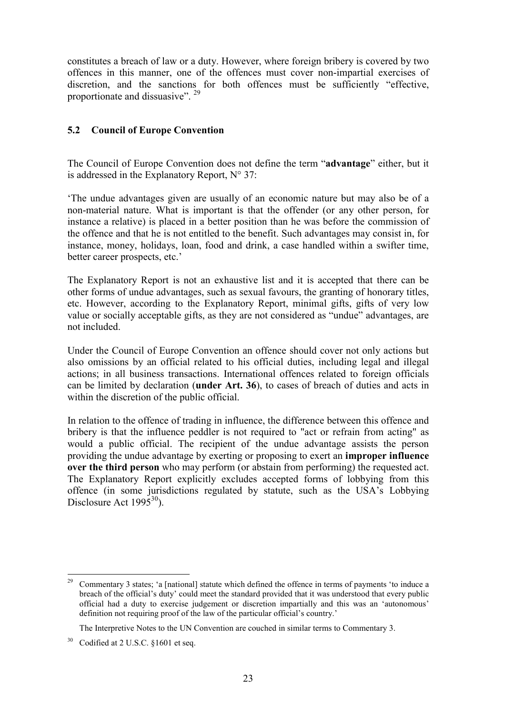constitutes a breach of law or a duty. However, where foreign bribery is covered by two offences in this manner, one of the offences must cover non-impartial exercises of discretion, and the sanctions for both offences must be sufficiently "effective, proportionate and dissuasive". <sup>29</sup>

### **5.2 Council of Europe Convention**

The Council of Europe Convention does not define the term "**advantage**" either, but it is addressed in the Explanatory Report,  $N^{\circ}$  37:

'The undue advantages given are usually of an economic nature but may also be of a non-material nature. What is important is that the offender (or any other person, for instance a relative) is placed in a better position than he was before the commission of the offence and that he is not entitled to the benefit. Such advantages may consist in, for instance, money, holidays, loan, food and drink, a case handled within a swifter time, better career prospects, etc.'

The Explanatory Report is not an exhaustive list and it is accepted that there can be other forms of undue advantages, such as sexual favours, the granting of honorary titles, etc. However, according to the Explanatory Report, minimal gifts, gifts of very low value or socially acceptable gifts, as they are not considered as "undue" advantages, are not included.

Under the Council of Europe Convention an offence should cover not only actions but also omissions by an official related to his official duties, including legal and illegal actions; in all business transactions. International offences related to foreign officials can be limited by declaration (**under Art. 36**), to cases of breach of duties and acts in within the discretion of the public official.

In relation to the offence of trading in influence, the difference between this offence and bribery is that the influence peddler is not required to "act or refrain from acting" as would a public official. The recipient of the undue advantage assists the person providing the undue advantage by exerting or proposing to exert an **improper influence over the third person** who may perform (or abstain from performing) the requested act. The Explanatory Report explicitly excludes accepted forms of lobbying from this offence (in some jurisdictions regulated by statute, such as the USA's Lobbying Disclosure Act  $1995^{30}$ ).

<sup>29</sup> Commentary 3 states; 'a [national] statute which defined the offence in terms of payments 'to induce a breach of the official's duty' could meet the standard provided that it was understood that every public official had a duty to exercise judgement or discretion impartially and this was an 'autonomous' definition not requiring proof of the law of the particular official's country.'

The Interpretive Notes to the UN Convention are couched in similar terms to Commentary 3.

<sup>&</sup>lt;sup>30</sup> Codified at 2 U.S.C. §1601 et seq.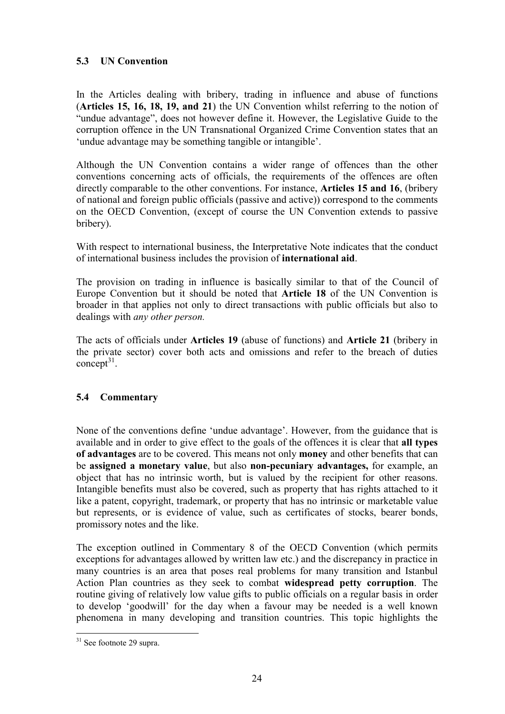# **5.3 UN Convention**

In the Articles dealing with bribery, trading in influence and abuse of functions (**Articles 15, 16, 18, 19, and 21**) the UN Convention whilst referring to the notion of "undue advantage", does not however define it. However, the Legislative Guide to the corruption offence in the UN Transnational Organized Crime Convention states that an 'undue advantage may be something tangible or intangible'.

Although the UN Convention contains a wider range of offences than the other conventions concerning acts of officials, the requirements of the offences are often directly comparable to the other conventions. For instance, **Articles 15 and 16**, (bribery of national and foreign public officials (passive and active)) correspond to the comments on the OECD Convention, (except of course the UN Convention extends to passive bribery).

With respect to international business, the Interpretative Note indicates that the conduct of international business includes the provision of **international aid**.

The provision on trading in influence is basically similar to that of the Council of Europe Convention but it should be noted that **Article 18** of the UN Convention is broader in that applies not only to direct transactions with public officials but also to dealings with *any other person.*

The acts of officials under **Articles 19** (abuse of functions) and **Article 21** (bribery in the private sector) cover both acts and omissions and refer to the breach of duties concept $3<sup>1</sup>$ .

# **5.4 Commentary**

None of the conventions define 'undue advantage'. However, from the guidance that is available and in order to give effect to the goals of the offences it is clear that **all types of advantages** are to be covered. This means not only **money** and other benefits that can be **assigned a monetary value**, but also **non-pecuniary advantages,** for example, an object that has no intrinsic worth, but is valued by the recipient for other reasons. Intangible benefits must also be covered, such as property that has rights attached to it like a patent, copyright, trademark, or property that has no intrinsic or marketable value but represents, or is evidence of value, such as certificates of stocks, bearer bonds, promissory notes and the like.

The exception outlined in Commentary 8 of the OECD Convention (which permits exceptions for advantages allowed by written law etc.) and the discrepancy in practice in many countries is an area that poses real problems for many transition and Istanbul Action Plan countries as they seek to combat **widespread petty corruption**. The routine giving of relatively low value gifts to public officials on a regular basis in order to develop 'goodwill' for the day when a favour may be needed is a well known phenomena in many developing and transition countries. This topic highlights the

<sup>&</sup>lt;sup>31</sup> See footnote 29 supra.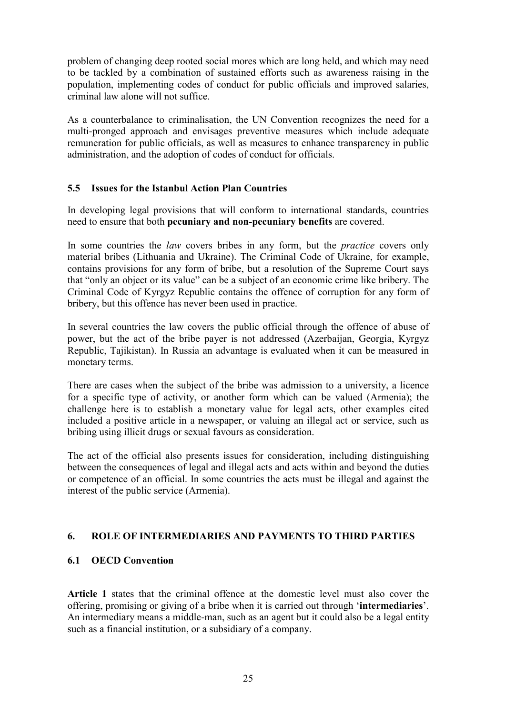problem of changing deep rooted social mores which are long held, and which may need to be tackled by a combination of sustained efforts such as awareness raising in the population, implementing codes of conduct for public officials and improved salaries, criminal law alone will not suffice.

As a counterbalance to criminalisation, the UN Convention recognizes the need for a multi-pronged approach and envisages preventive measures which include adequate remuneration for public officials, as well as measures to enhance transparency in public administration, and the adoption of codes of conduct for officials.

#### **5.5 Issues for the Istanbul Action Plan Countries**

In developing legal provisions that will conform to international standards, countries need to ensure that both **pecuniary and non-pecuniary benefits** are covered.

In some countries the *law* covers bribes in any form, but the *practice* covers only material bribes (Lithuania and Ukraine). The Criminal Code of Ukraine, for example, contains provisions for any form of bribe, but a resolution of the Supreme Court says that "only an object or its value" can be a subject of an economic crime like bribery. The Criminal Code of Kyrgyz Republic contains the offence of corruption for any form of bribery, but this offence has never been used in practice.

In several countries the law covers the public official through the offence of abuse of power, but the act of the bribe payer is not addressed (Azerbaijan, Georgia, Kyrgyz Republic, Tajikistan). In Russia an advantage is evaluated when it can be measured in monetary terms.

There are cases when the subject of the bribe was admission to a university, a licence for a specific type of activity, or another form which can be valued (Armenia); the challenge here is to establish a monetary value for legal acts, other examples cited included a positive article in a newspaper, or valuing an illegal act or service, such as bribing using illicit drugs or sexual favours as consideration.

The act of the official also presents issues for consideration, including distinguishing between the consequences of legal and illegal acts and acts within and beyond the duties or competence of an official. In some countries the acts must be illegal and against the interest of the public service (Armenia).

#### **6. ROLE OF INTERMEDIARIES AND PAYMENTS TO THIRD PARTIES**

#### **6.1 OECD Convention**

**Article 1** states that the criminal offence at the domestic level must also cover the offering, promising or giving of a bribe when it is carried out through '**intermediaries**'. An intermediary means a middle-man, such as an agent but it could also be a legal entity such as a financial institution, or a subsidiary of a company.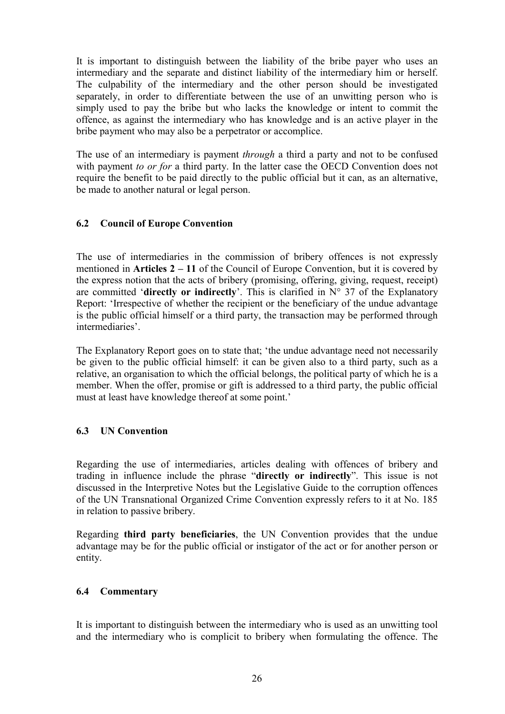It is important to distinguish between the liability of the bribe payer who uses an intermediary and the separate and distinct liability of the intermediary him or herself. The culpability of the intermediary and the other person should be investigated separately, in order to differentiate between the use of an unwitting person who is simply used to pay the bribe but who lacks the knowledge or intent to commit the offence, as against the intermediary who has knowledge and is an active player in the bribe payment who may also be a perpetrator or accomplice.

The use of an intermediary is payment *through* a third a party and not to be confused with payment *to or for* a third party. In the latter case the OECD Convention does not require the benefit to be paid directly to the public official but it can, as an alternative, be made to another natural or legal person.

# **6.2 Council of Europe Convention**

The use of intermediaries in the commission of bribery offences is not expressly mentioned in **Articles 2 – 11** of the Council of Europe Convention, but it is covered by the express notion that the acts of bribery (promising, offering, giving, request, receipt) are committed '**directly or indirectly**'. This is clarified in N° 37 of the Explanatory Report: 'Irrespective of whether the recipient or the beneficiary of the undue advantage is the public official himself or a third party, the transaction may be performed through intermediaries'.

The Explanatory Report goes on to state that; 'the undue advantage need not necessarily be given to the public official himself: it can be given also to a third party, such as a relative, an organisation to which the official belongs, the political party of which he is a member. When the offer, promise or gift is addressed to a third party, the public official must at least have knowledge thereof at some point.'

# **6.3 UN Convention**

Regarding the use of intermediaries, articles dealing with offences of bribery and trading in influence include the phrase "**directly or indirectly**". This issue is not discussed in the Interpretive Notes but the Legislative Guide to the corruption offences of the UN Transnational Organized Crime Convention expressly refers to it at No. 185 in relation to passive bribery.

Regarding **third party beneficiaries**, the UN Convention provides that the undue advantage may be for the public official or instigator of the act or for another person or entity.

# **6.4 Commentary**

It is important to distinguish between the intermediary who is used as an unwitting tool and the intermediary who is complicit to bribery when formulating the offence. The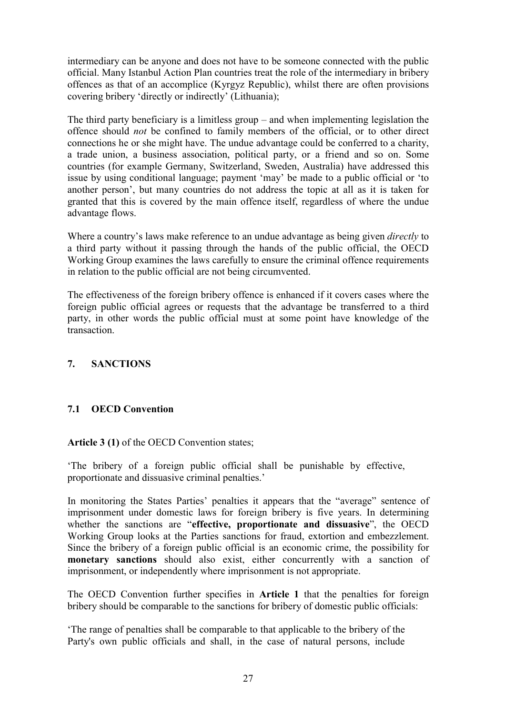intermediary can be anyone and does not have to be someone connected with the public official. Many Istanbul Action Plan countries treat the role of the intermediary in bribery offences as that of an accomplice (Kyrgyz Republic), whilst there are often provisions covering bribery 'directly or indirectly' (Lithuania);

The third party beneficiary is a limitless group – and when implementing legislation the offence should *not* be confined to family members of the official, or to other direct connections he or she might have. The undue advantage could be conferred to a charity, a trade union, a business association, political party, or a friend and so on. Some countries (for example Germany, Switzerland, Sweden, Australia) have addressed this issue by using conditional language; payment 'may' be made to a public official or 'to another person', but many countries do not address the topic at all as it is taken for granted that this is covered by the main offence itself, regardless of where the undue advantage flows.

Where a country's laws make reference to an undue advantage as being given *directly* to a third party without it passing through the hands of the public official, the OECD Working Group examines the laws carefully to ensure the criminal offence requirements in relation to the public official are not being circumvented.

The effectiveness of the foreign bribery offence is enhanced if it covers cases where the foreign public official agrees or requests that the advantage be transferred to a third party, in other words the public official must at some point have knowledge of the transaction.

# **7. SANCTIONS**

# **7.1 OECD Convention**

# **Article 3 (1)** of the OECD Convention states;

'The bribery of a foreign public official shall be punishable by effective, proportionate and dissuasive criminal penalties.'

In monitoring the States Parties' penalties it appears that the "average" sentence of imprisonment under domestic laws for foreign bribery is five years. In determining whether the sanctions are "**effective, proportionate and dissuasive**", the OECD Working Group looks at the Parties sanctions for fraud, extortion and embezzlement. Since the bribery of a foreign public official is an economic crime, the possibility for **monetary sanctions** should also exist, either concurrently with a sanction of imprisonment, or independently where imprisonment is not appropriate.

The OECD Convention further specifies in **Article 1** that the penalties for foreign bribery should be comparable to the sanctions for bribery of domestic public officials:

'The range of penalties shall be comparable to that applicable to the bribery of the Party's own public officials and shall, in the case of natural persons, include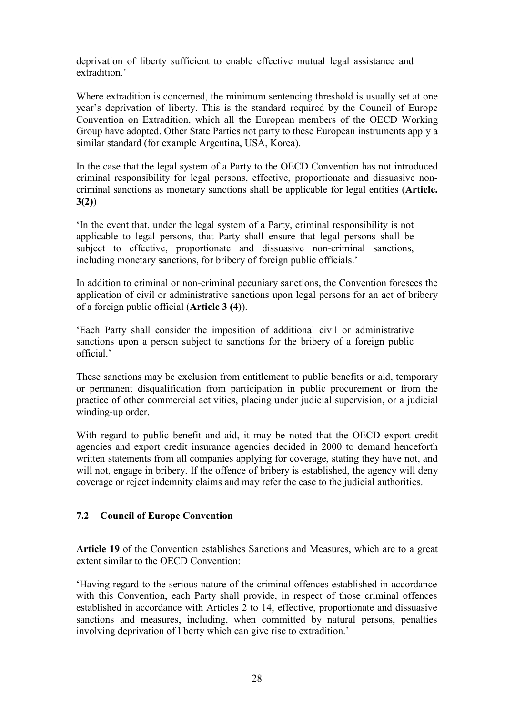deprivation of liberty sufficient to enable effective mutual legal assistance and extradition<sup>'</sup>

Where extradition is concerned, the minimum sentencing threshold is usually set at one year's deprivation of liberty. This is the standard required by the Council of Europe Convention on Extradition, which all the European members of the OECD Working Group have adopted. Other State Parties not party to these European instruments apply a similar standard (for example Argentina, USA, Korea).

In the case that the legal system of a Party to the OECD Convention has not introduced criminal responsibility for legal persons, effective, proportionate and dissuasive noncriminal sanctions as monetary sanctions shall be applicable for legal entities (**Article. 3(2)**)

'In the event that, under the legal system of a Party, criminal responsibility is not applicable to legal persons, that Party shall ensure that legal persons shall be subject to effective, proportionate and dissuasive non-criminal sanctions, including monetary sanctions, for bribery of foreign public officials.'

In addition to criminal or non-criminal pecuniary sanctions, the Convention foresees the application of civil or administrative sanctions upon legal persons for an act of bribery of a foreign public official (**Article 3 (4)**).

'Each Party shall consider the imposition of additional civil or administrative sanctions upon a person subject to sanctions for the bribery of a foreign public official.'

These sanctions may be exclusion from entitlement to public benefits or aid, temporary or permanent disqualification from participation in public procurement or from the practice of other commercial activities, placing under judicial supervision, or a judicial winding-up order.

With regard to public benefit and aid, it may be noted that the OECD export credit agencies and export credit insurance agencies decided in 2000 to demand henceforth written statements from all companies applying for coverage, stating they have not, and will not, engage in bribery. If the offence of bribery is established, the agency will deny coverage or reject indemnity claims and may refer the case to the judicial authorities.

# **7.2 Council of Europe Convention**

**Article 19** of the Convention establishes Sanctions and Measures, which are to a great extent similar to the OECD Convention:

'Having regard to the serious nature of the criminal offences established in accordance with this Convention, each Party shall provide, in respect of those criminal offences established in accordance with Articles 2 to 14, effective, proportionate and dissuasive sanctions and measures, including, when committed by natural persons, penalties involving deprivation of liberty which can give rise to extradition.'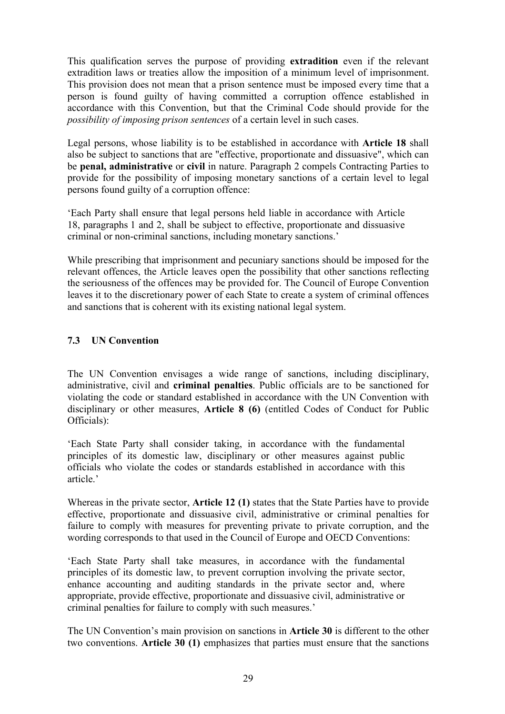This qualification serves the purpose of providing **extradition** even if the relevant extradition laws or treaties allow the imposition of a minimum level of imprisonment. This provision does not mean that a prison sentence must be imposed every time that a person is found guilty of having committed a corruption offence established in accordance with this Convention, but that the Criminal Code should provide for the *possibility of imposing prison sentences* of a certain level in such cases.

Legal persons, whose liability is to be established in accordance with **Article 18** shall also be subject to sanctions that are "effective, proportionate and dissuasive", which can be **penal, administrative** or **civil** in nature. Paragraph 2 compels Contracting Parties to provide for the possibility of imposing monetary sanctions of a certain level to legal persons found guilty of a corruption offence:

'Each Party shall ensure that legal persons held liable in accordance with Article 18, paragraphs 1 and 2, shall be subject to effective, proportionate and dissuasive criminal or non-criminal sanctions, including monetary sanctions.'

While prescribing that imprisonment and pecuniary sanctions should be imposed for the relevant offences, the Article leaves open the possibility that other sanctions reflecting the seriousness of the offences may be provided for. The Council of Europe Convention leaves it to the discretionary power of each State to create a system of criminal offences and sanctions that is coherent with its existing national legal system.

# **7.3 UN Convention**

The UN Convention envisages a wide range of sanctions, including disciplinary, administrative, civil and **criminal penalties**. Public officials are to be sanctioned for violating the code or standard established in accordance with the UN Convention with disciplinary or other measures, **Article 8 (6)** (entitled Codes of Conduct for Public Officials):

'Each State Party shall consider taking, in accordance with the fundamental principles of its domestic law, disciplinary or other measures against public officials who violate the codes or standards established in accordance with this article<sup>'</sup>

Whereas in the private sector, **Article 12 (1)** states that the State Parties have to provide effective, proportionate and dissuasive civil, administrative or criminal penalties for failure to comply with measures for preventing private to private corruption, and the wording corresponds to that used in the Council of Europe and OECD Conventions:

'Each State Party shall take measures, in accordance with the fundamental principles of its domestic law, to prevent corruption involving the private sector, enhance accounting and auditing standards in the private sector and, where appropriate, provide effective, proportionate and dissuasive civil, administrative or criminal penalties for failure to comply with such measures.'

The UN Convention's main provision on sanctions in **Article 30** is different to the other two conventions. **Article 30 (1)** emphasizes that parties must ensure that the sanctions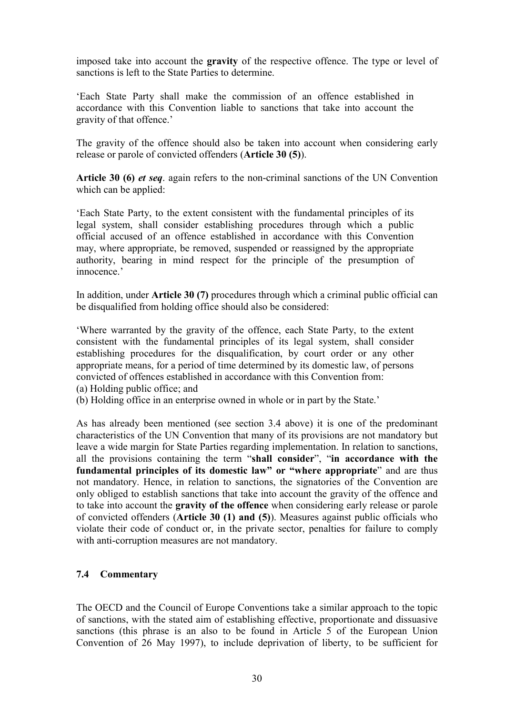imposed take into account the **gravity** of the respective offence. The type or level of sanctions is left to the State Parties to determine.

'Each State Party shall make the commission of an offence established in accordance with this Convention liable to sanctions that take into account the gravity of that offence.'

The gravity of the offence should also be taken into account when considering early release or parole of convicted offenders (**Article 30 (5)**).

**Article 30 (6)** *et seq*. again refers to the non-criminal sanctions of the UN Convention which can be applied:

'Each State Party, to the extent consistent with the fundamental principles of its legal system, shall consider establishing procedures through which a public official accused of an offence established in accordance with this Convention may, where appropriate, be removed, suspended or reassigned by the appropriate authority, bearing in mind respect for the principle of the presumption of innocence.'

In addition, under **Article 30 (7)** procedures through which a criminal public official can be disqualified from holding office should also be considered:

'Where warranted by the gravity of the offence, each State Party, to the extent consistent with the fundamental principles of its legal system, shall consider establishing procedures for the disqualification, by court order or any other appropriate means, for a period of time determined by its domestic law, of persons convicted of offences established in accordance with this Convention from:

- (a) Holding public office; and
- (b) Holding office in an enterprise owned in whole or in part by the State.'

As has already been mentioned (see section 3.4 above) it is one of the predominant characteristics of the UN Convention that many of its provisions are not mandatory but leave a wide margin for State Parties regarding implementation. In relation to sanctions, all the provisions containing the term "**shall consider**", "**in accordance with the fundamental principles of its domestic law" or "where appropriate**" and are thus not mandatory. Hence, in relation to sanctions, the signatories of the Convention are only obliged to establish sanctions that take into account the gravity of the offence and to take into account the **gravity of the offence** when considering early release or parole of convicted offenders (**Article 30 (1) and (5)**). Measures against public officials who violate their code of conduct or, in the private sector, penalties for failure to comply with anti-corruption measures are not mandatory.

#### **7.4 Commentary**

The OECD and the Council of Europe Conventions take a similar approach to the topic of sanctions, with the stated aim of establishing effective, proportionate and dissuasive sanctions (this phrase is an also to be found in Article 5 of the European Union Convention of 26 May 1997), to include deprivation of liberty, to be sufficient for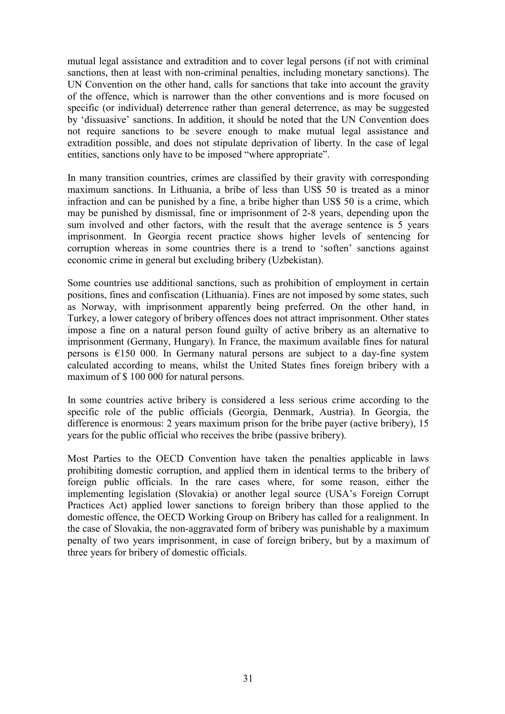mutual legal assistance and extradition and to cover legal persons (if not with criminal sanctions, then at least with non-criminal penalties, including monetary sanctions). The UN Convention on the other hand, calls for sanctions that take into account the gravity of the offence, which is narrower than the other conventions and is more focused on specific (or individual) deterrence rather than general deterrence, as may be suggested by 'dissuasive' sanctions. In addition, it should be noted that the UN Convention does not require sanctions to be severe enough to make mutual legal assistance and extradition possible, and does not stipulate deprivation of liberty. In the case of legal entities, sanctions only have to be imposed "where appropriate".

In many transition countries, crimes are classified by their gravity with corresponding maximum sanctions. In Lithuania, a bribe of less than US\$ 50 is treated as a minor infraction and can be punished by a fine, a bribe higher than US\$ 50 is a crime, which may be punished by dismissal, fine or imprisonment of 2-8 years, depending upon the sum involved and other factors, with the result that the average sentence is 5 years imprisonment. In Georgia recent practice shows higher levels of sentencing for corruption whereas in some countries there is a trend to 'soften' sanctions against economic crime in general but excluding bribery (Uzbekistan).

Some countries use additional sanctions, such as prohibition of employment in certain positions, fines and confiscation (Lithuania). Fines are not imposed by some states, such as Norway, with imprisonment apparently being preferred. On the other hand, in Turkey, a lower category of bribery offences does not attract imprisonment. Other states impose a fine on a natural person found guilty of active bribery as an alternative to imprisonment (Germany, Hungary). In France, the maximum available fines for natural persons is €150 000. In Germany natural persons are subject to a day-fine system calculated according to means, whilst the United States fines foreign bribery with a maximum of \$ 100 000 for natural persons.

In some countries active bribery is considered a less serious crime according to the specific role of the public officials (Georgia, Denmark, Austria). In Georgia, the difference is enormous: 2 years maximum prison for the bribe payer (active bribery), 15 years for the public official who receives the bribe (passive bribery).

Most Parties to the OECD Convention have taken the penalties applicable in laws prohibiting domestic corruption, and applied them in identical terms to the bribery of foreign public officials. In the rare cases where, for some reason, either the implementing legislation (Slovakia) or another legal source (USA's Foreign Corrupt Practices Act) applied lower sanctions to foreign bribery than those applied to the domestic offence, the OECD Working Group on Bribery has called for a realignment. In the case of Slovakia, the non-aggravated form of bribery was punishable by a maximum penalty of two years imprisonment, in case of foreign bribery, but by a maximum of three years for bribery of domestic officials.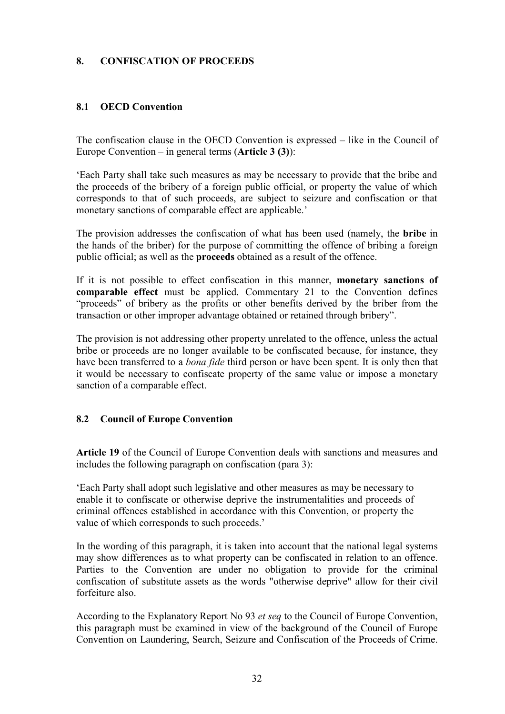# **8. CONFISCATION OF PROCEEDS**

### **8.1 OECD Convention**

The confiscation clause in the OECD Convention is expressed – like in the Council of Europe Convention – in general terms (**Article 3 (3)**):

'Each Party shall take such measures as may be necessary to provide that the bribe and the proceeds of the bribery of a foreign public official, or property the value of which corresponds to that of such proceeds, are subject to seizure and confiscation or that monetary sanctions of comparable effect are applicable.'

The provision addresses the confiscation of what has been used (namely, the **bribe** in the hands of the briber) for the purpose of committing the offence of bribing a foreign public official; as well as the **proceeds** obtained as a result of the offence.

If it is not possible to effect confiscation in this manner, **monetary sanctions of comparable effect** must be applied. Commentary 21 to the Convention defines "proceeds" of bribery as the profits or other benefits derived by the briber from the transaction or other improper advantage obtained or retained through bribery".

The provision is not addressing other property unrelated to the offence, unless the actual bribe or proceeds are no longer available to be confiscated because, for instance, they have been transferred to a *bona fide* third person or have been spent. It is only then that it would be necessary to confiscate property of the same value or impose a monetary sanction of a comparable effect.

# **8.2 Council of Europe Convention**

**Article 19** of the Council of Europe Convention deals with sanctions and measures and includes the following paragraph on confiscation (para 3):

'Each Party shall adopt such legislative and other measures as may be necessary to enable it to confiscate or otherwise deprive the instrumentalities and proceeds of criminal offences established in accordance with this Convention, or property the value of which corresponds to such proceeds.'

In the wording of this paragraph, it is taken into account that the national legal systems may show differences as to what property can be confiscated in relation to an offence. Parties to the Convention are under no obligation to provide for the criminal confiscation of substitute assets as the words "otherwise deprive" allow for their civil forfeiture also.

According to the Explanatory Report No 93 *et seq* to the Council of Europe Convention, this paragraph must be examined in view of the background of the Council of Europe Convention on Laundering, Search, Seizure and Confiscation of the Proceeds of Crime.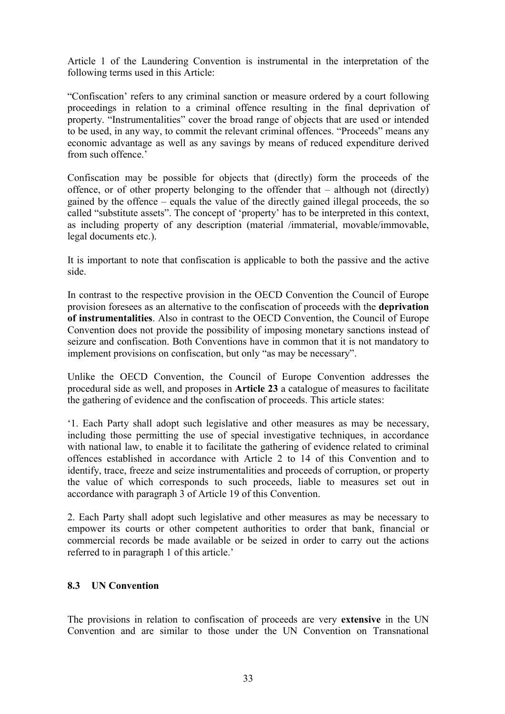Article 1 of the Laundering Convention is instrumental in the interpretation of the following terms used in this Article:

"Confiscation' refers to any criminal sanction or measure ordered by a court following proceedings in relation to a criminal offence resulting in the final deprivation of property. "Instrumentalities" cover the broad range of objects that are used or intended to be used, in any way, to commit the relevant criminal offences. "Proceeds" means any economic advantage as well as any savings by means of reduced expenditure derived from such offence.'

Confiscation may be possible for objects that (directly) form the proceeds of the offence, or of other property belonging to the offender that – although not (directly) gained by the offence – equals the value of the directly gained illegal proceeds, the so called "substitute assets". The concept of 'property' has to be interpreted in this context, as including property of any description (material /immaterial, movable/immovable, legal documents etc.).

It is important to note that confiscation is applicable to both the passive and the active side.

In contrast to the respective provision in the OECD Convention the Council of Europe provision foresees as an alternative to the confiscation of proceeds with the **deprivation of instrumentalities**. Also in contrast to the OECD Convention, the Council of Europe Convention does not provide the possibility of imposing monetary sanctions instead of seizure and confiscation. Both Conventions have in common that it is not mandatory to implement provisions on confiscation, but only "as may be necessary".

Unlike the OECD Convention, the Council of Europe Convention addresses the procedural side as well, and proposes in **Article 23** a catalogue of measures to facilitate the gathering of evidence and the confiscation of proceeds. This article states:

'1. Each Party shall adopt such legislative and other measures as may be necessary, including those permitting the use of special investigative techniques, in accordance with national law, to enable it to facilitate the gathering of evidence related to criminal offences established in accordance with Article 2 to 14 of this Convention and to identify, trace, freeze and seize instrumentalities and proceeds of corruption, or property the value of which corresponds to such proceeds, liable to measures set out in accordance with paragraph 3 of Article 19 of this Convention.

2. Each Party shall adopt such legislative and other measures as may be necessary to empower its courts or other competent authorities to order that bank, financial or commercial records be made available or be seized in order to carry out the actions referred to in paragraph 1 of this article.'

#### **8.3 UN Convention**

The provisions in relation to confiscation of proceeds are very **extensive** in the UN Convention and are similar to those under the UN Convention on Transnational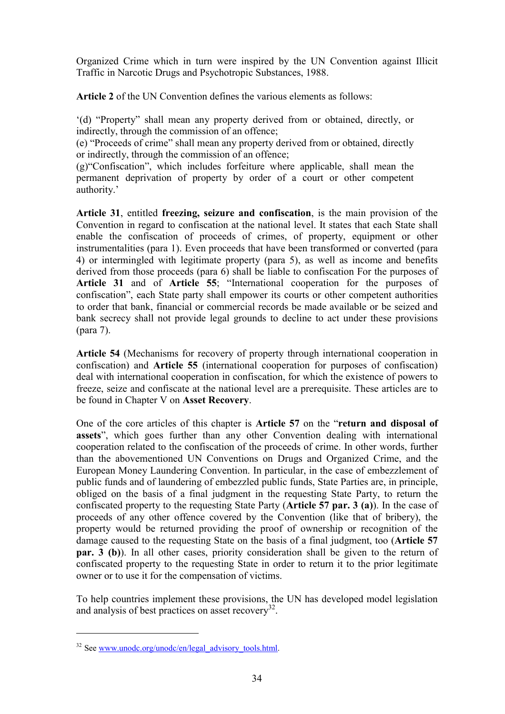Organized Crime which in turn were inspired by the UN Convention against Illicit Traffic in Narcotic Drugs and Psychotropic Substances, 1988.

**Article 2** of the UN Convention defines the various elements as follows:

'(d) "Property" shall mean any property derived from or obtained, directly, or indirectly, through the commission of an offence;

(e) "Proceeds of crime" shall mean any property derived from or obtained, directly or indirectly, through the commission of an offence;

(g)"Confiscation", which includes forfeiture where applicable, shall mean the permanent deprivation of property by order of a court or other competent authority.'

**Article 31**, entitled **freezing, seizure and confiscation**, is the main provision of the Convention in regard to confiscation at the national level. It states that each State shall enable the confiscation of proceeds of crimes, of property, equipment or other instrumentalities (para 1). Even proceeds that have been transformed or converted (para 4) or intermingled with legitimate property (para 5), as well as income and benefits derived from those proceeds (para 6) shall be liable to confiscation For the purposes of **Article 31** and of **Article 55**; "International cooperation for the purposes of confiscation", each State party shall empower its courts or other competent authorities to order that bank, financial or commercial records be made available or be seized and bank secrecy shall not provide legal grounds to decline to act under these provisions (para 7).

**Article 54** (Mechanisms for recovery of property through international cooperation in confiscation) and **Article 55** (international cooperation for purposes of confiscation) deal with international cooperation in confiscation, for which the existence of powers to freeze, seize and confiscate at the national level are a prerequisite. These articles are to be found in Chapter V on **Asset Recovery**.

One of the core articles of this chapter is **Article 57** on the "**return and disposal of assets**", which goes further than any other Convention dealing with international cooperation related to the confiscation of the proceeds of crime. In other words, further than the abovementioned UN Conventions on Drugs and Organized Crime, and the European Money Laundering Convention. In particular, in the case of embezzlement of public funds and of laundering of embezzled public funds, State Parties are, in principle, obliged on the basis of a final judgment in the requesting State Party, to return the confiscated property to the requesting State Party (**Article 57 par. 3 (a)**). In the case of proceeds of any other offence covered by the Convention (like that of bribery), the property would be returned providing the proof of ownership or recognition of the damage caused to the requesting State on the basis of a final judgment, too (**Article 57 par. 3 (b)**). In all other cases, priority consideration shall be given to the return of confiscated property to the requesting State in order to return it to the prior legitimate owner or to use it for the compensation of victims.

To help countries implement these provisions, the UN has developed model legislation and analysis of best practices on asset recovery $32$ .

 $32$  See www.unodc.org/unodc/en/legal\_advisory\_tools.html.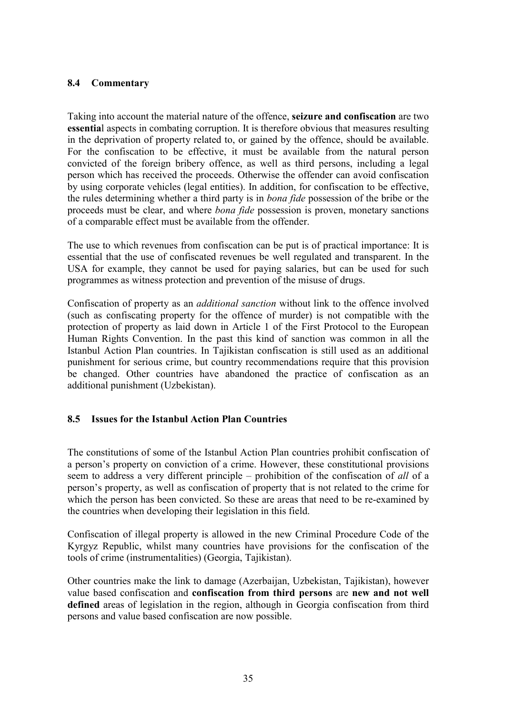### **8.4 Commentary**

Taking into account the material nature of the offence, **seizure and confiscation** are two **essentia**l aspects in combating corruption. It is therefore obvious that measures resulting in the deprivation of property related to, or gained by the offence, should be available. For the confiscation to be effective, it must be available from the natural person convicted of the foreign bribery offence, as well as third persons, including a legal person which has received the proceeds. Otherwise the offender can avoid confiscation by using corporate vehicles (legal entities). In addition, for confiscation to be effective, the rules determining whether a third party is in *bona fide* possession of the bribe or the proceeds must be clear, and where *bona fide* possession is proven, monetary sanctions of a comparable effect must be available from the offender.

The use to which revenues from confiscation can be put is of practical importance: It is essential that the use of confiscated revenues be well regulated and transparent. In the USA for example, they cannot be used for paying salaries, but can be used for such programmes as witness protection and prevention of the misuse of drugs.

Confiscation of property as an *additional sanction* without link to the offence involved (such as confiscating property for the offence of murder) is not compatible with the protection of property as laid down in Article 1 of the First Protocol to the European Human Rights Convention. In the past this kind of sanction was common in all the Istanbul Action Plan countries. In Tajikistan confiscation is still used as an additional punishment for serious crime, but country recommendations require that this provision be changed. Other countries have abandoned the practice of confiscation as an additional punishment (Uzbekistan).

# **8.5 Issues for the Istanbul Action Plan Countries**

The constitutions of some of the Istanbul Action Plan countries prohibit confiscation of a person's property on conviction of a crime. However, these constitutional provisions seem to address a very different principle – prohibition of the confiscation of *all* of a person's property, as well as confiscation of property that is not related to the crime for which the person has been convicted. So these are areas that need to be re-examined by the countries when developing their legislation in this field.

Confiscation of illegal property is allowed in the new Criminal Procedure Code of the Kyrgyz Republic, whilst many countries have provisions for the confiscation of the tools of crime (instrumentalities) (Georgia, Tajikistan).

Other countries make the link to damage (Azerbaijan, Uzbekistan, Tajikistan), however value based confiscation and **confiscation from third persons** are **new and not well defined** areas of legislation in the region, although in Georgia confiscation from third persons and value based confiscation are now possible.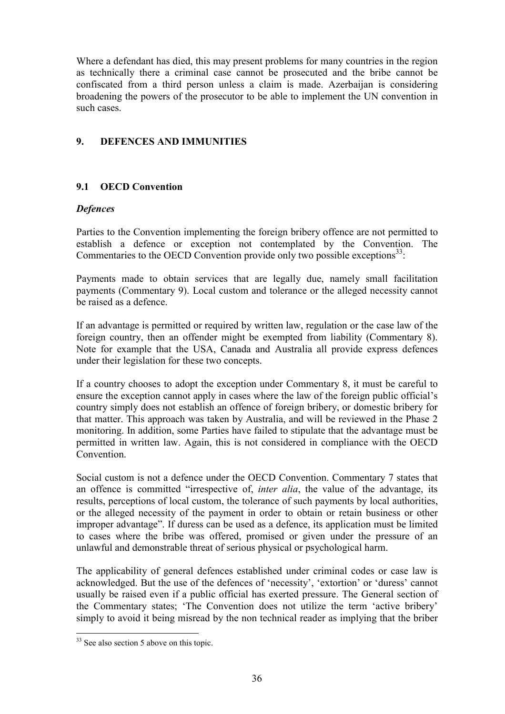Where a defendant has died, this may present problems for many countries in the region as technically there a criminal case cannot be prosecuted and the bribe cannot be confiscated from a third person unless a claim is made. Azerbaijan is considering broadening the powers of the prosecutor to be able to implement the UN convention in such cases.

# **9. DEFENCES AND IMMUNITIES**

# **9.1 OECD Convention**

# *Defences*

Parties to the Convention implementing the foreign bribery offence are not permitted to establish a defence or exception not contemplated by the Convention. The Commentaries to the OECD Convention provide only two possible exceptions $^{33}$ .

Payments made to obtain services that are legally due, namely small facilitation payments (Commentary 9). Local custom and tolerance or the alleged necessity cannot be raised as a defence.

If an advantage is permitted or required by written law, regulation or the case law of the foreign country, then an offender might be exempted from liability (Commentary 8). Note for example that the USA, Canada and Australia all provide express defences under their legislation for these two concepts.

If a country chooses to adopt the exception under Commentary 8, it must be careful to ensure the exception cannot apply in cases where the law of the foreign public official's country simply does not establish an offence of foreign bribery, or domestic bribery for that matter. This approach was taken by Australia, and will be reviewed in the Phase 2 monitoring. In addition, some Parties have failed to stipulate that the advantage must be permitted in written law. Again, this is not considered in compliance with the OECD **Convention** 

Social custom is not a defence under the OECD Convention. Commentary 7 states that an offence is committed "irrespective of, *inter alia*, the value of the advantage, its results, perceptions of local custom, the tolerance of such payments by local authorities, or the alleged necessity of the payment in order to obtain or retain business or other improper advantage". If duress can be used as a defence, its application must be limited to cases where the bribe was offered, promised or given under the pressure of an unlawful and demonstrable threat of serious physical or psychological harm.

The applicability of general defences established under criminal codes or case law is acknowledged. But the use of the defences of 'necessity', 'extortion' or 'duress' cannot usually be raised even if a public official has exerted pressure. The General section of the Commentary states; 'The Convention does not utilize the term 'active bribery' simply to avoid it being misread by the non technical reader as implying that the briber

 $33$  See also section 5 above on this topic.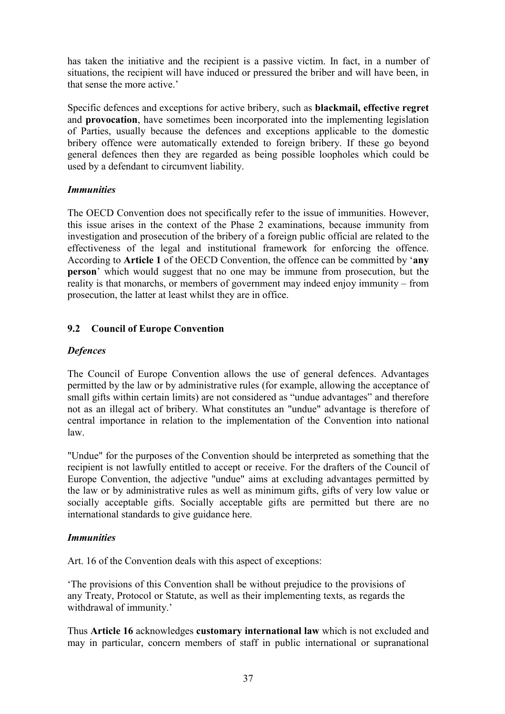has taken the initiative and the recipient is a passive victim. In fact, in a number of situations, the recipient will have induced or pressured the briber and will have been, in that sense the more active.'

Specific defences and exceptions for active bribery, such as **blackmail, effective regret** and **provocation**, have sometimes been incorporated into the implementing legislation of Parties, usually because the defences and exceptions applicable to the domestic bribery offence were automatically extended to foreign bribery. If these go beyond general defences then they are regarded as being possible loopholes which could be used by a defendant to circumvent liability.

#### *Immunities*

The OECD Convention does not specifically refer to the issue of immunities. However, this issue arises in the context of the Phase 2 examinations, because immunity from investigation and prosecution of the bribery of a foreign public official are related to the effectiveness of the legal and institutional framework for enforcing the offence. According to **Article 1** of the OECD Convention, the offence can be committed by '**any person**' which would suggest that no one may be immune from prosecution, but the reality is that monarchs, or members of government may indeed enjoy immunity – from prosecution, the latter at least whilst they are in office.

# **9.2 Council of Europe Convention**

# *Defences*

The Council of Europe Convention allows the use of general defences. Advantages permitted by the law or by administrative rules (for example, allowing the acceptance of small gifts within certain limits) are not considered as "undue advantages" and therefore not as an illegal act of bribery. What constitutes an "undue" advantage is therefore of central importance in relation to the implementation of the Convention into national law.

"Undue" for the purposes of the Convention should be interpreted as something that the recipient is not lawfully entitled to accept or receive. For the drafters of the Council of Europe Convention, the adjective "undue" aims at excluding advantages permitted by the law or by administrative rules as well as minimum gifts, gifts of very low value or socially acceptable gifts. Socially acceptable gifts are permitted but there are no international standards to give guidance here.

#### *Immunities*

Art. 16 of the Convention deals with this aspect of exceptions:

'The provisions of this Convention shall be without prejudice to the provisions of any Treaty, Protocol or Statute, as well as their implementing texts, as regards the withdrawal of immunity.'

Thus **Article 16** acknowledges **customary international law** which is not excluded and may in particular, concern members of staff in public international or supranational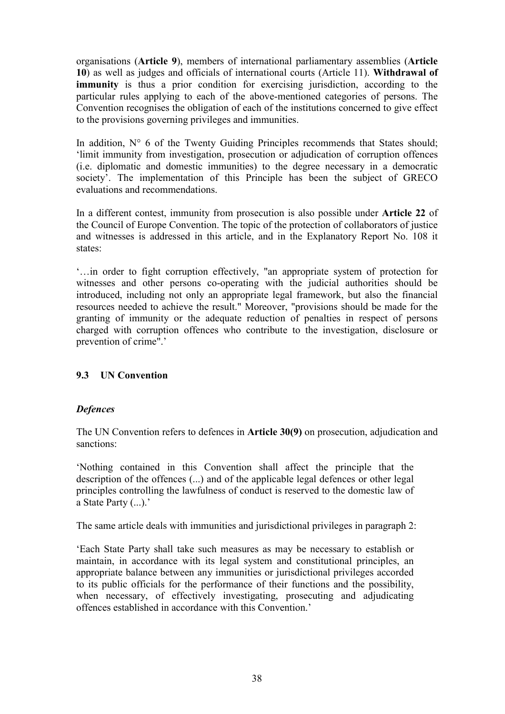organisations (**Article 9**), members of international parliamentary assemblies (**Article 10**) as well as judges and officials of international courts (Article 11). **Withdrawal of immunity** is thus a prior condition for exercising jurisdiction, according to the particular rules applying to each of the above-mentioned categories of persons. The Convention recognises the obligation of each of the institutions concerned to give effect to the provisions governing privileges and immunities.

In addition,  $N^{\circ}$  6 of the Twenty Guiding Principles recommends that States should; 'limit immunity from investigation, prosecution or adjudication of corruption offences (i.e. diplomatic and domestic immunities) to the degree necessary in a democratic society'. The implementation of this Principle has been the subject of GRECO evaluations and recommendations.

In a different contest, immunity from prosecution is also possible under **Article 22** of the Council of Europe Convention. The topic of the protection of collaborators of justice and witnesses is addressed in this article, and in the Explanatory Report No. 108 it states:

'…in order to fight corruption effectively, "an appropriate system of protection for witnesses and other persons co-operating with the judicial authorities should be introduced, including not only an appropriate legal framework, but also the financial resources needed to achieve the result." Moreover, "provisions should be made for the granting of immunity or the adequate reduction of penalties in respect of persons charged with corruption offences who contribute to the investigation, disclosure or prevention of crime".'

# **9.3 UN Convention**

# *Defences*

The UN Convention refers to defences in **Article 30(9)** on prosecution, adjudication and sanctions:

'Nothing contained in this Convention shall affect the principle that the description of the offences (...) and of the applicable legal defences or other legal principles controlling the lawfulness of conduct is reserved to the domestic law of a State Party (...).'

The same article deals with immunities and jurisdictional privileges in paragraph 2:

'Each State Party shall take such measures as may be necessary to establish or maintain, in accordance with its legal system and constitutional principles, an appropriate balance between any immunities or jurisdictional privileges accorded to its public officials for the performance of their functions and the possibility, when necessary, of effectively investigating, prosecuting and adjudicating offences established in accordance with this Convention.'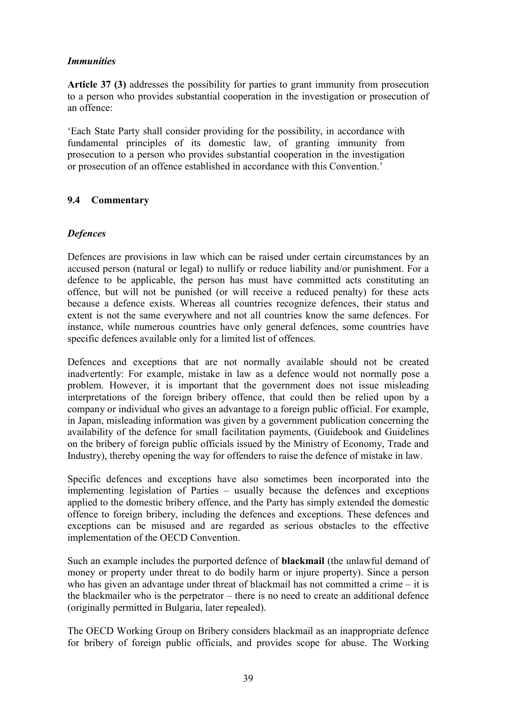# *Immunities*

**Article 37 (3)** addresses the possibility for parties to grant immunity from prosecution to a person who provides substantial cooperation in the investigation or prosecution of an offence:

'Each State Party shall consider providing for the possibility, in accordance with fundamental principles of its domestic law, of granting immunity from prosecution to a person who provides substantial cooperation in the investigation or prosecution of an offence established in accordance with this Convention.'

# **9.4 Commentary**

# *Defences*

Defences are provisions in law which can be raised under certain circumstances by an accused person (natural or legal) to nullify or reduce liability and/or punishment. For a defence to be applicable, the person has must have committed acts constituting an offence, but will not be punished (or will receive a reduced penalty) for these acts because a defence exists. Whereas all countries recognize defences, their status and extent is not the same everywhere and not all countries know the same defences. For instance, while numerous countries have only general defences, some countries have specific defences available only for a limited list of offences.

Defences and exceptions that are not normally available should not be created inadvertently: For example, mistake in law as a defence would not normally pose a problem. However, it is important that the government does not issue misleading interpretations of the foreign bribery offence, that could then be relied upon by a company or individual who gives an advantage to a foreign public official. For example, in Japan, misleading information was given by a government publication concerning the availability of the defence for small facilitation payments, (Guidebook and Guidelines on the bribery of foreign public officials issued by the Ministry of Economy, Trade and Industry), thereby opening the way for offenders to raise the defence of mistake in law.

Specific defences and exceptions have also sometimes been incorporated into the implementing legislation of Parties – usually because the defences and exceptions applied to the domestic bribery offence, and the Party has simply extended the domestic offence to foreign bribery, including the defences and exceptions. These defences and exceptions can be misused and are regarded as serious obstacles to the effective implementation of the OECD Convention.

Such an example includes the purported defence of **blackmail** (the unlawful demand of money or property under threat to do bodily harm or injure property). Since a person who has given an advantage under threat of blackmail has not committed a crime – it is the blackmailer who is the perpetrator – there is no need to create an additional defence (originally permitted in Bulgaria, later repealed).

The OECD Working Group on Bribery considers blackmail as an inappropriate defence for bribery of foreign public officials, and provides scope for abuse. The Working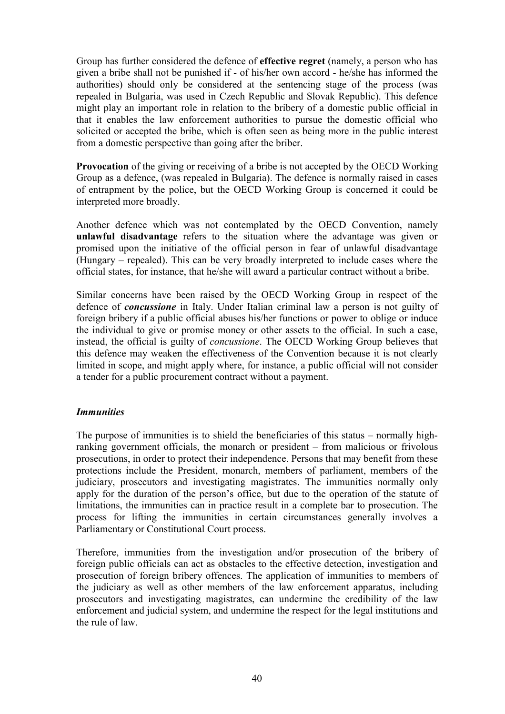Group has further considered the defence of **effective regret** (namely, a person who has given a bribe shall not be punished if - of his/her own accord - he/she has informed the authorities) should only be considered at the sentencing stage of the process (was repealed in Bulgaria, was used in Czech Republic and Slovak Republic). This defence might play an important role in relation to the bribery of a domestic public official in that it enables the law enforcement authorities to pursue the domestic official who solicited or accepted the bribe, which is often seen as being more in the public interest from a domestic perspective than going after the briber.

**Provocation** of the giving or receiving of a bribe is not accepted by the OECD Working Group as a defence, (was repealed in Bulgaria). The defence is normally raised in cases of entrapment by the police, but the OECD Working Group is concerned it could be interpreted more broadly.

Another defence which was not contemplated by the OECD Convention, namely **unlawful disadvantage** refers to the situation where the advantage was given or promised upon the initiative of the official person in fear of unlawful disadvantage (Hungary – repealed). This can be very broadly interpreted to include cases where the official states, for instance, that he/she will award a particular contract without a bribe.

Similar concerns have been raised by the OECD Working Group in respect of the defence of *concussione* in Italy. Under Italian criminal law a person is not guilty of foreign bribery if a public official abuses his/her functions or power to oblige or induce the individual to give or promise money or other assets to the official. In such a case, instead, the official is guilty of *concussione*. The OECD Working Group believes that this defence may weaken the effectiveness of the Convention because it is not clearly limited in scope, and might apply where, for instance, a public official will not consider a tender for a public procurement contract without a payment.

# *Immunities*

The purpose of immunities is to shield the beneficiaries of this status – normally highranking government officials, the monarch or president – from malicious or frivolous prosecutions, in order to protect their independence. Persons that may benefit from these protections include the President, monarch, members of parliament, members of the judiciary, prosecutors and investigating magistrates. The immunities normally only apply for the duration of the person's office, but due to the operation of the statute of limitations, the immunities can in practice result in a complete bar to prosecution. The process for lifting the immunities in certain circumstances generally involves a Parliamentary or Constitutional Court process.

Therefore, immunities from the investigation and/or prosecution of the bribery of foreign public officials can act as obstacles to the effective detection, investigation and prosecution of foreign bribery offences. The application of immunities to members of the judiciary as well as other members of the law enforcement apparatus, including prosecutors and investigating magistrates, can undermine the credibility of the law enforcement and judicial system, and undermine the respect for the legal institutions and the rule of law.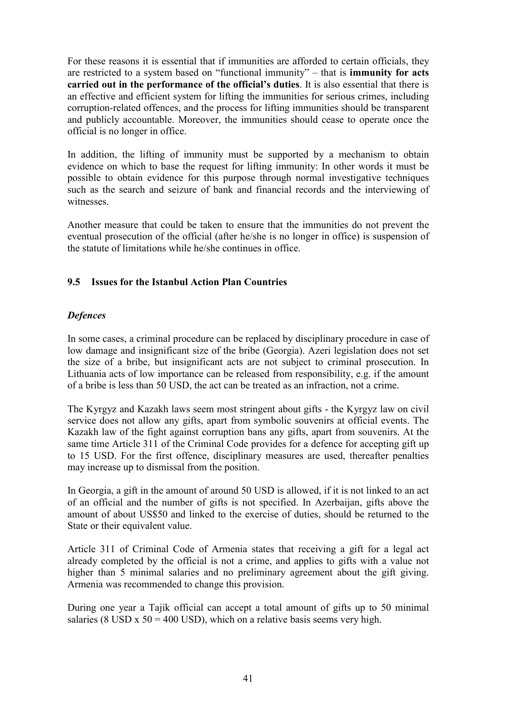For these reasons it is essential that if immunities are afforded to certain officials, they are restricted to a system based on "functional immunity" – that is **immunity for acts carried out in the performance of the official's duties**. It is also essential that there is an effective and efficient system for lifting the immunities for serious crimes, including corruption-related offences, and the process for lifting immunities should be transparent and publicly accountable. Moreover, the immunities should cease to operate once the official is no longer in office.

In addition, the lifting of immunity must be supported by a mechanism to obtain evidence on which to base the request for lifting immunity: In other words it must be possible to obtain evidence for this purpose through normal investigative techniques such as the search and seizure of bank and financial records and the interviewing of witnesses.

Another measure that could be taken to ensure that the immunities do not prevent the eventual prosecution of the official (after he/she is no longer in office) is suspension of the statute of limitations while he/she continues in office.

# **9.5 Issues for the Istanbul Action Plan Countries**

# *Defences*

In some cases, a criminal procedure can be replaced by disciplinary procedure in case of low damage and insignificant size of the bribe (Georgia). Azeri legislation does not set the size of a bribe, but insignificant acts are not subject to criminal prosecution. In Lithuania acts of low importance can be released from responsibility, e.g. if the amount of a bribe is less than 50 USD, the act can be treated as an infraction, not a crime.

The Kyrgyz and Kazakh laws seem most stringent about gifts - the Kyrgyz law on civil service does not allow any gifts, apart from symbolic souvenirs at official events. The Kazakh law of the fight against corruption bans any gifts, apart from souvenirs. At the same time Article 311 of the Criminal Code provides for a defence for accepting gift up to 15 USD. For the first offence, disciplinary measures are used, thereafter penalties may increase up to dismissal from the position.

In Georgia, a gift in the amount of around 50 USD is allowed, if it is not linked to an act of an official and the number of gifts is not specified. In Azerbaijan, gifts above the amount of about US\$50 and linked to the exercise of duties, should be returned to the State or their equivalent value.

Article 311 of Criminal Code of Armenia states that receiving a gift for a legal act already completed by the official is not a crime, and applies to gifts with a value not higher than 5 minimal salaries and no preliminary agreement about the gift giving. Armenia was recommended to change this provision.

During one year a Tajik official can accept a total amount of gifts up to 50 minimal salaries (8 USD x  $50 = 400$  USD), which on a relative basis seems very high.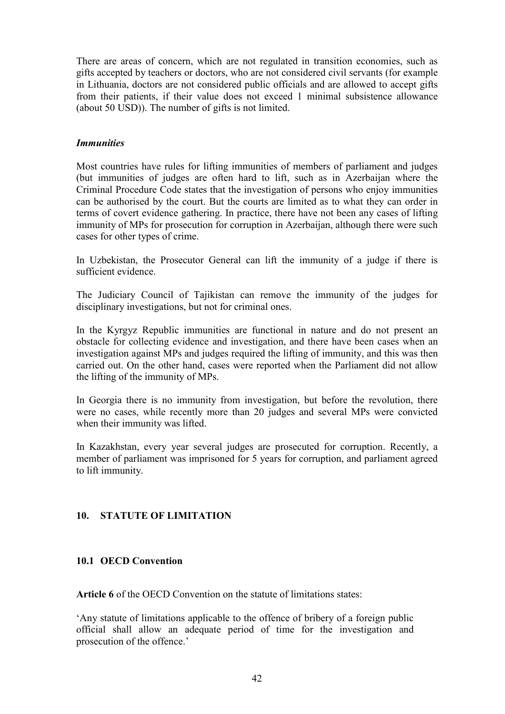There are areas of concern, which are not regulated in transition economies, such as gifts accepted by teachers or doctors, who are not considered civil servants (for example in Lithuania, doctors are not considered public officials and are allowed to accept gifts from their patients, if their value does not exceed 1 minimal subsistence allowance (about 50 USD)). The number of gifts is not limited.

#### *Immunities*

Most countries have rules for lifting immunities of members of parliament and judges (but immunities of judges are often hard to lift, such as in Azerbaijan where the Criminal Procedure Code states that the investigation of persons who enjoy immunities can be authorised by the court. But the courts are limited as to what they can order in terms of covert evidence gathering. In practice, there have not been any cases of lifting immunity of MPs for prosecution for corruption in Azerbaijan, although there were such cases for other types of crime.

In Uzbekistan, the Prosecutor General can lift the immunity of a judge if there is sufficient evidence.

The Judiciary Council of Tajikistan can remove the immunity of the judges for disciplinary investigations, but not for criminal ones.

In the Kyrgyz Republic immunities are functional in nature and do not present an obstacle for collecting evidence and investigation, and there have been cases when an investigation against MPs and judges required the lifting of immunity, and this was then carried out. On the other hand, cases were reported when the Parliament did not allow the lifting of the immunity of MPs.

In Georgia there is no immunity from investigation, but before the revolution, there were no cases, while recently more than 20 judges and several MPs were convicted when their immunity was lifted.

In Kazakhstan, every year several judges are prosecuted for corruption. Recently, a member of parliament was imprisoned for 5 years for corruption, and parliament agreed to lift immunity.

# **10. STATUTE OF LIMITATION**

#### **10.1 OECD Convention**

**Article 6** of the OECD Convention on the statute of limitations states:

'Any statute of limitations applicable to the offence of bribery of a foreign public official shall allow an adequate period of time for the investigation and prosecution of the offence.'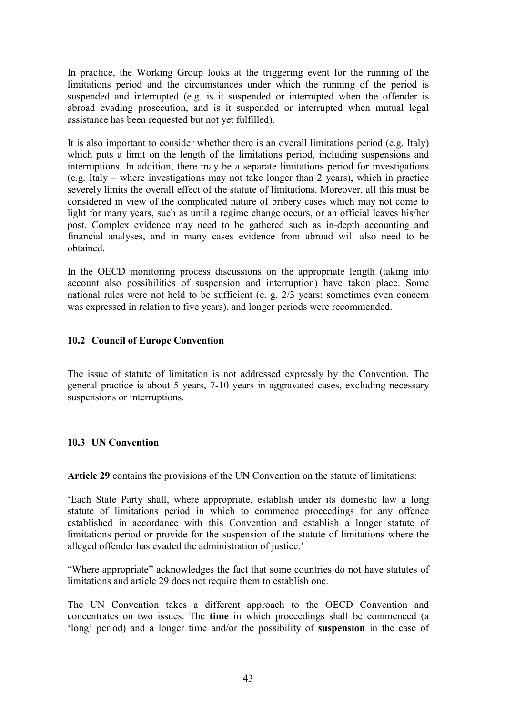In practice, the Working Group looks at the triggering event for the running of the limitations period and the circumstances under which the running of the period is suspended and interrupted (e.g. is it suspended or interrupted when the offender is abroad evading prosecution, and is it suspended or interrupted when mutual legal assistance has been requested but not yet fulfilled).

It is also important to consider whether there is an overall limitations period (e.g. Italy) which puts a limit on the length of the limitations period, including suspensions and interruptions. In addition, there may be a separate limitations period for investigations (e.g. Italy – where investigations may not take longer than 2 years), which in practice severely limits the overall effect of the statute of limitations. Moreover, all this must be considered in view of the complicated nature of bribery cases which may not come to light for many years, such as until a regime change occurs, or an official leaves his/her post. Complex evidence may need to be gathered such as in-depth accounting and financial analyses, and in many cases evidence from abroad will also need to be obtained.

In the OECD monitoring process discussions on the appropriate length (taking into account also possibilities of suspension and interruption) have taken place. Some national rules were not held to be sufficient (e. g. 2/3 years; sometimes even concern was expressed in relation to five years), and longer periods were recommended.

#### **10.2 Council of Europe Convention**

The issue of statute of limitation is not addressed expressly by the Convention. The general practice is about 5 years, 7-10 years in aggravated cases, excluding necessary suspensions or interruptions.

#### **10.3 UN Convention**

**Article 29** contains the provisions of the UN Convention on the statute of limitations:

'Each State Party shall, where appropriate, establish under its domestic law a long statute of limitations period in which to commence proceedings for any offence established in accordance with this Convention and establish a longer statute of limitations period or provide for the suspension of the statute of limitations where the alleged offender has evaded the administration of justice.'

"Where appropriate" acknowledges the fact that some countries do not have statutes of limitations and article 29 does not require them to establish one.

The UN Convention takes a different approach to the OECD Convention and concentrates on two issues: The **time** in which proceedings shall be commenced (a 'long' period) and a longer time and/or the possibility of **suspension** in the case of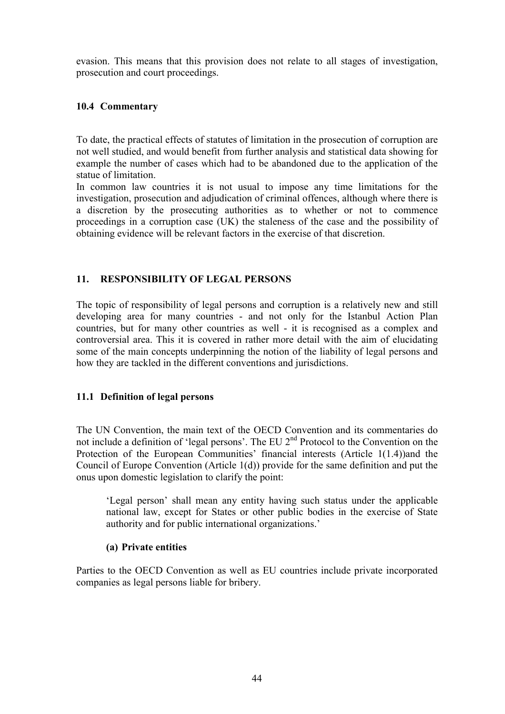evasion. This means that this provision does not relate to all stages of investigation, prosecution and court proceedings.

### **10.4 Commentary**

To date, the practical effects of statutes of limitation in the prosecution of corruption are not well studied, and would benefit from further analysis and statistical data showing for example the number of cases which had to be abandoned due to the application of the statue of limitation.

In common law countries it is not usual to impose any time limitations for the investigation, prosecution and adjudication of criminal offences, although where there is a discretion by the prosecuting authorities as to whether or not to commence proceedings in a corruption case (UK) the staleness of the case and the possibility of obtaining evidence will be relevant factors in the exercise of that discretion.

# **11. RESPONSIBILITY OF LEGAL PERSONS**

The topic of responsibility of legal persons and corruption is a relatively new and still developing area for many countries - and not only for the Istanbul Action Plan countries, but for many other countries as well - it is recognised as a complex and controversial area. This it is covered in rather more detail with the aim of elucidating some of the main concepts underpinning the notion of the liability of legal persons and how they are tackled in the different conventions and jurisdictions.

# **11.1 Definition of legal persons**

The UN Convention, the main text of the OECD Convention and its commentaries do not include a definition of 'legal persons'. The EU 2<sup>nd</sup> Protocol to the Convention on the Protection of the European Communities' financial interests (Article 1(1.4))and the Council of Europe Convention (Article 1(d)) provide for the same definition and put the onus upon domestic legislation to clarify the point:

'Legal person' shall mean any entity having such status under the applicable national law, except for States or other public bodies in the exercise of State authority and for public international organizations.'

# **(a) Private entities**

Parties to the OECD Convention as well as EU countries include private incorporated companies as legal persons liable for bribery.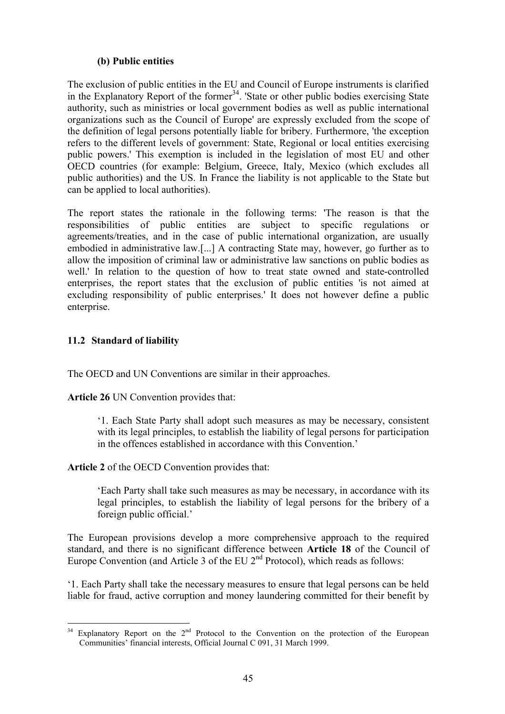### **(b) Public entities**

The exclusion of public entities in the EU and Council of Europe instruments is clarified in the Explanatory Report of the former<sup>34</sup>. 'State or other public bodies exercising State authority, such as ministries or local government bodies as well as public international organizations such as the Council of Europe' are expressly excluded from the scope of the definition of legal persons potentially liable for bribery. Furthermore, 'the exception refers to the different levels of government: State, Regional or local entities exercising public powers.' This exemption is included in the legislation of most EU and other OECD countries (for example: Belgium, Greece, Italy, Mexico (which excludes all public authorities) and the US. In France the liability is not applicable to the State but can be applied to local authorities).

The report states the rationale in the following terms: 'The reason is that the responsibilities of public entities are subject to specific regulations or agreements/treaties, and in the case of public international organization, are usually embodied in administrative law.[...] A contracting State may, however, go further as to allow the imposition of criminal law or administrative law sanctions on public bodies as well.' In relation to the question of how to treat state owned and state-controlled enterprises, the report states that the exclusion of public entities 'is not aimed at excluding responsibility of public enterprises.' It does not however define a public enterprise.

# **11.2 Standard of liability**

The OECD and UN Conventions are similar in their approaches.

**Article 26** UN Convention provides that:

'1. Each State Party shall adopt such measures as may be necessary, consistent with its legal principles, to establish the liability of legal persons for participation in the offences established in accordance with this Convention.'

**Article 2** of the OECD Convention provides that:

'Each Party shall take such measures as may be necessary, in accordance with its legal principles, to establish the liability of legal persons for the bribery of a foreign public official.'

The European provisions develop a more comprehensive approach to the required standard, and there is no significant difference between **Article 18** of the Council of Europe Convention (and Article 3 of the EU  $2<sup>nd</sup>$  Protocol), which reads as follows:

'1. Each Party shall take the necessary measures to ensure that legal persons can be held liable for fraud, active corruption and money laundering committed for their benefit by

 $\overline{a}$  $34$  Explanatory Report on the  $2<sup>nd</sup>$  Protocol to the Convention on the protection of the European Communities' financial interests, Official Journal C 091, 31 March 1999.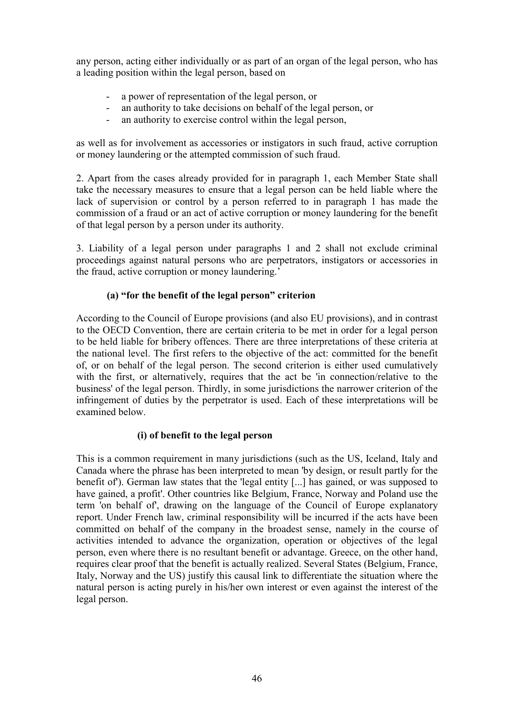any person, acting either individually or as part of an organ of the legal person, who has a leading position within the legal person, based on

- a power of representation of the legal person, or
- an authority to take decisions on behalf of the legal person, or
- an authority to exercise control within the legal person,

as well as for involvement as accessories or instigators in such fraud, active corruption or money laundering or the attempted commission of such fraud.

2. Apart from the cases already provided for in paragraph 1, each Member State shall take the necessary measures to ensure that a legal person can be held liable where the lack of supervision or control by a person referred to in paragraph 1 has made the commission of a fraud or an act of active corruption or money laundering for the benefit of that legal person by a person under its authority.

3. Liability of a legal person under paragraphs 1 and 2 shall not exclude criminal proceedings against natural persons who are perpetrators, instigators or accessories in the fraud, active corruption or money laundering.'

# **(a) "for the benefit of the legal person" criterion**

According to the Council of Europe provisions (and also EU provisions), and in contrast to the OECD Convention, there are certain criteria to be met in order for a legal person to be held liable for bribery offences. There are three interpretations of these criteria at the national level. The first refers to the objective of the act: committed for the benefit of, or on behalf of the legal person. The second criterion is either used cumulatively with the first, or alternatively, requires that the act be 'in connection/relative to the business' of the legal person. Thirdly, in some jurisdictions the narrower criterion of the infringement of duties by the perpetrator is used. Each of these interpretations will be examined below.

#### **(i) of benefit to the legal person**

This is a common requirement in many jurisdictions (such as the US, Iceland, Italy and Canada where the phrase has been interpreted to mean 'by design, or result partly for the benefit of'). German law states that the 'legal entity [...] has gained, or was supposed to have gained, a profit'. Other countries like Belgium, France, Norway and Poland use the term 'on behalf of', drawing on the language of the Council of Europe explanatory report. Under French law, criminal responsibility will be incurred if the acts have been committed on behalf of the company in the broadest sense, namely in the course of activities intended to advance the organization, operation or objectives of the legal person, even where there is no resultant benefit or advantage. Greece, on the other hand, requires clear proof that the benefit is actually realized. Several States (Belgium, France, Italy, Norway and the US) justify this causal link to differentiate the situation where the natural person is acting purely in his/her own interest or even against the interest of the legal person.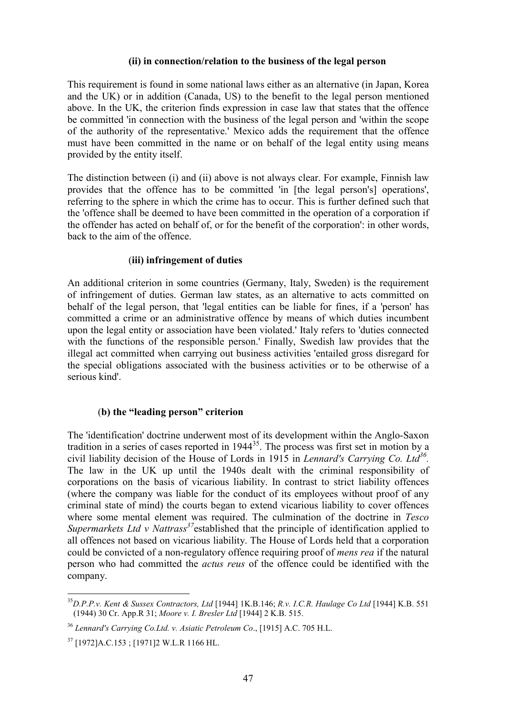#### **(ii) in connection/relation to the business of the legal person**

This requirement is found in some national laws either as an alternative (in Japan, Korea and the UK) or in addition (Canada, US) to the benefit to the legal person mentioned above. In the UK, the criterion finds expression in case law that states that the offence be committed 'in connection with the business of the legal person and 'within the scope of the authority of the representative.' Mexico adds the requirement that the offence must have been committed in the name or on behalf of the legal entity using means provided by the entity itself.

The distinction between (i) and (ii) above is not always clear. For example, Finnish law provides that the offence has to be committed 'in [the legal person's] operations', referring to the sphere in which the crime has to occur. This is further defined such that the 'offence shall be deemed to have been committed in the operation of a corporation if the offender has acted on behalf of, or for the benefit of the corporation': in other words, back to the aim of the offence.

#### (**iii) infringement of duties**

An additional criterion in some countries (Germany, Italy, Sweden) is the requirement of infringement of duties. German law states, as an alternative to acts committed on behalf of the legal person, that 'legal entities can be liable for fines, if a 'person' has committed a crime or an administrative offence by means of which duties incumbent upon the legal entity or association have been violated.' Italy refers to 'duties connected with the functions of the responsible person.' Finally, Swedish law provides that the illegal act committed when carrying out business activities 'entailed gross disregard for the special obligations associated with the business activities or to be otherwise of a serious kind'.

# (**b) the "leading person" criterion**

The 'identification' doctrine underwent most of its development within the Anglo-Saxon tradition in a series of cases reported in  $1944^{35}$ . The process was first set in motion by a civil liability decision of the House of Lords in 1915 in *Lennard's Carrying Co. Ltd36.* The law in the UK up until the 1940s dealt with the criminal responsibility of corporations on the basis of vicarious liability. In contrast to strict liability offences (where the company was liable for the conduct of its employees without proof of any criminal state of mind) the courts began to extend vicarious liability to cover offences where some mental element was required. The culmination of the doctrine in *Tesco Supermarkets Ltd v Nattrass<sup>37</sup>*established that the principle of identification applied to all offences not based on vicarious liability. The House of Lords held that a corporation could be convicted of a non-regulatory offence requiring proof of *mens rea* if the natural person who had committed the *actus reus* of the offence could be identified with the company.

 <sup>35</sup>*D.P.P.v. Kent & Sussex Contractors, Ltd* [1944] 1K.B.146; *R.v. I.C.R. Haulage Co Ltd* [1944] K.B. 551 (1944) 30 Cr. App.R 31; *Moore v. I. Bresler Ltd* [1944] 2 K.B. 515.

<sup>36</sup> *Lennard's Carrying Co.Ltd. v. Asiatic Petroleum Co*., [1915] A.C. 705 H.L.

<sup>37 [1972]</sup>A.C.153 ; [1971]2 W.L.R 1166 HL.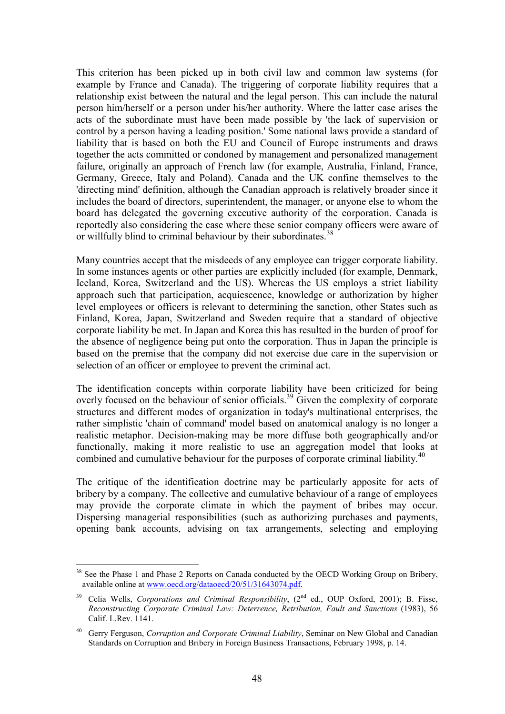This criterion has been picked up in both civil law and common law systems (for example by France and Canada). The triggering of corporate liability requires that a relationship exist between the natural and the legal person. This can include the natural person him/herself or a person under his/her authority. Where the latter case arises the acts of the subordinate must have been made possible by 'the lack of supervision or control by a person having a leading position.' Some national laws provide a standard of liability that is based on both the EU and Council of Europe instruments and draws together the acts committed or condoned by management and personalized management failure, originally an approach of French law (for example, Australia, Finland, France, Germany, Greece, Italy and Poland). Canada and the UK confine themselves to the 'directing mind' definition, although the Canadian approach is relatively broader since it includes the board of directors, superintendent, the manager, or anyone else to whom the board has delegated the governing executive authority of the corporation. Canada is reportedly also considering the case where these senior company officers were aware of or willfully blind to criminal behaviour by their subordinates.<sup>38</sup>

Many countries accept that the misdeeds of any employee can trigger corporate liability. In some instances agents or other parties are explicitly included (for example, Denmark, Iceland, Korea, Switzerland and the US). Whereas the US employs a strict liability approach such that participation, acquiescence, knowledge or authorization by higher level employees or officers is relevant to determining the sanction, other States such as Finland, Korea, Japan, Switzerland and Sweden require that a standard of objective corporate liability be met. In Japan and Korea this has resulted in the burden of proof for the absence of negligence being put onto the corporation. Thus in Japan the principle is based on the premise that the company did not exercise due care in the supervision or selection of an officer or employee to prevent the criminal act.

The identification concepts within corporate liability have been criticized for being overly focused on the behaviour of senior officials.<sup>39</sup> Given the complexity of corporate structures and different modes of organization in today's multinational enterprises, the rather simplistic 'chain of command' model based on anatomical analogy is no longer a realistic metaphor. Decision-making may be more diffuse both geographically and/or functionally, making it more realistic to use an aggregation model that looks at combined and cumulative behaviour for the purposes of corporate criminal liability.<sup>40</sup>

The critique of the identification doctrine may be particularly apposite for acts of bribery by a company. The collective and cumulative behaviour of a range of employees may provide the corporate climate in which the payment of bribes may occur. Dispersing managerial responsibilities (such as authorizing purchases and payments, opening bank accounts, advising on tax arrangements, selecting and employing

<sup>&</sup>lt;sup>38</sup> See the Phase 1 and Phase 2 Reports on Canada conducted by the OECD Working Group on Bribery, available online at www.oecd.org/dataoecd/20/51/31643074.pdf.

<sup>&</sup>lt;sup>39</sup> Celia Wells, *Corporations and Criminal Responsibility*, (2<sup>nd</sup> ed., OUP Oxford, 2001); B. Fisse, *Reconstructing Corporate Criminal Law: Deterrence, Retribution, Fault and Sanctions* (1983), 56 Calif. L.Rev. 1141.

<sup>40</sup> Gerry Ferguson, *Corruption and Corporate Criminal Liability*, Seminar on New Global and Canadian Standards on Corruption and Bribery in Foreign Business Transactions, February 1998, p. 14.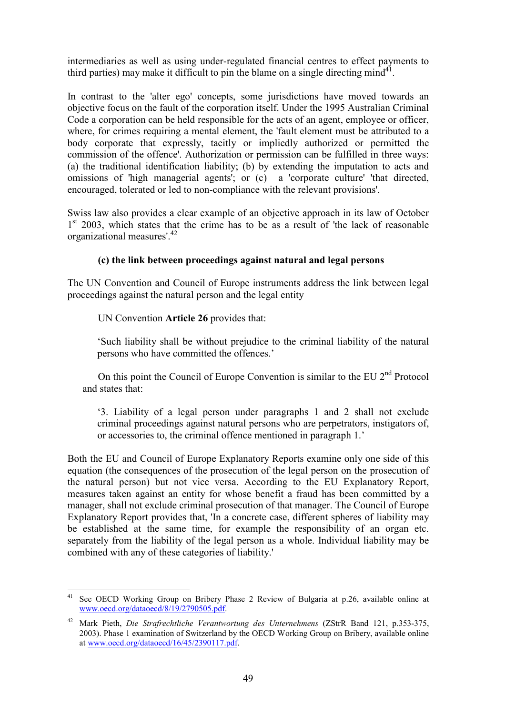intermediaries as well as using under-regulated financial centres to effect payments to third parties) may make it difficult to pin the blame on a single directing  $mind<sup>41</sup>$ .

In contrast to the 'alter ego' concepts, some jurisdictions have moved towards an objective focus on the fault of the corporation itself. Under the 1995 Australian Criminal Code a corporation can be held responsible for the acts of an agent, employee or officer, where, for crimes requiring a mental element, the 'fault element must be attributed to a body corporate that expressly, tacitly or impliedly authorized or permitted the commission of the offence'. Authorization or permission can be fulfilled in three ways: (a) the traditional identification liability; (b) by extending the imputation to acts and omissions of 'high managerial agents'; or (c) a 'corporate culture' 'that directed, encouraged, tolerated or led to non-compliance with the relevant provisions'.

Swiss law also provides a clear example of an objective approach in its law of October 1<sup>st</sup> 2003, which states that the crime has to be as a result of 'the lack of reasonable organizational measures'.<sup>42</sup>

#### **(c) the link between proceedings against natural and legal persons**

The UN Convention and Council of Europe instruments address the link between legal proceedings against the natural person and the legal entity

UN Convention **Article 26** provides that:

'Such liability shall be without prejudice to the criminal liability of the natural persons who have committed the offences.'

On this point the Council of Europe Convention is similar to the EU  $2<sup>nd</sup>$  Protocol and states that:

'3. Liability of a legal person under paragraphs 1 and 2 shall not exclude criminal proceedings against natural persons who are perpetrators, instigators of, or accessories to, the criminal offence mentioned in paragraph 1.'

Both the EU and Council of Europe Explanatory Reports examine only one side of this equation (the consequences of the prosecution of the legal person on the prosecution of the natural person) but not vice versa. According to the EU Explanatory Report, measures taken against an entity for whose benefit a fraud has been committed by a manager, shall not exclude criminal prosecution of that manager. The Council of Europe Explanatory Report provides that, 'In a concrete case, different spheres of liability may be established at the same time, for example the responsibility of an organ etc. separately from the liability of the legal person as a whole. Individual liability may be combined with any of these categories of liability.'

 $41$ See OECD Working Group on Bribery Phase 2 Review of Bulgaria at p.26, available online at www.oecd.org/dataoecd/8/19/2790505.pdf.

<sup>42</sup> Mark Pieth, *Die Strafrechtliche Verantwortung des Unternehmens* (ZStrR Band 121, p.353-375, 2003). Phase 1 examination of Switzerland by the OECD Working Group on Bribery, available online at www.oecd.org/dataoecd/16/45/2390117.pdf.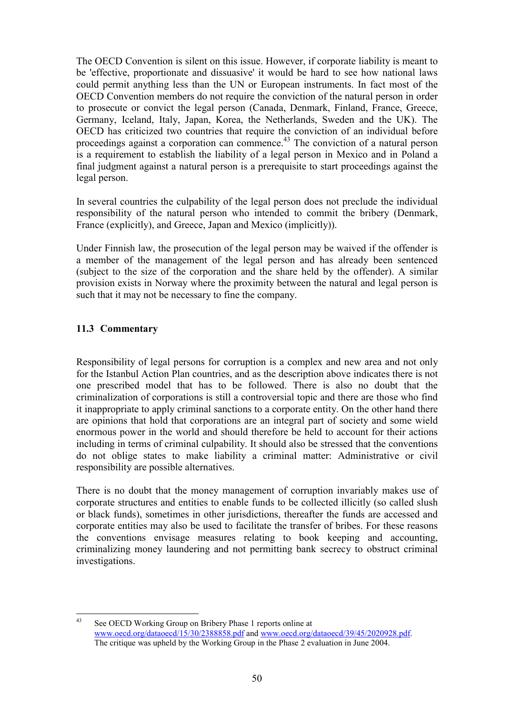The OECD Convention is silent on this issue. However, if corporate liability is meant to be 'effective, proportionate and dissuasive' it would be hard to see how national laws could permit anything less than the UN or European instruments. In fact most of the OECD Convention members do not require the conviction of the natural person in order to prosecute or convict the legal person (Canada, Denmark, Finland, France, Greece, Germany, Iceland, Italy, Japan, Korea, the Netherlands, Sweden and the UK). The OECD has criticized two countries that require the conviction of an individual before proceedings against a corporation can commence.43 The conviction of a natural person is a requirement to establish the liability of a legal person in Mexico and in Poland a final judgment against a natural person is a prerequisite to start proceedings against the legal person.

In several countries the culpability of the legal person does not preclude the individual responsibility of the natural person who intended to commit the bribery (Denmark, France (explicitly), and Greece, Japan and Mexico (implicitly)).

Under Finnish law, the prosecution of the legal person may be waived if the offender is a member of the management of the legal person and has already been sentenced (subject to the size of the corporation and the share held by the offender). A similar provision exists in Norway where the proximity between the natural and legal person is such that it may not be necessary to fine the company.

#### **11.3 Commentary**

Responsibility of legal persons for corruption is a complex and new area and not only for the Istanbul Action Plan countries, and as the description above indicates there is not one prescribed model that has to be followed. There is also no doubt that the criminalization of corporations is still a controversial topic and there are those who find it inappropriate to apply criminal sanctions to a corporate entity. On the other hand there are opinions that hold that corporations are an integral part of society and some wield enormous power in the world and should therefore be held to account for their actions including in terms of criminal culpability. It should also be stressed that the conventions do not oblige states to make liability a criminal matter: Administrative or civil responsibility are possible alternatives.

There is no doubt that the money management of corruption invariably makes use of corporate structures and entities to enable funds to be collected illicitly (so called slush or black funds), sometimes in other jurisdictions, thereafter the funds are accessed and corporate entities may also be used to facilitate the transfer of bribes. For these reasons the conventions envisage measures relating to book keeping and accounting, criminalizing money laundering and not permitting bank secrecy to obstruct criminal investigations.

 $43$ See OECD Working Group on Bribery Phase 1 reports online at www.oecd.org/dataoecd/15/30/2388858.pdf and www.oecd.org/dataoecd/39/45/2020928.pdf. The critique was upheld by the Working Group in the Phase 2 evaluation in June 2004.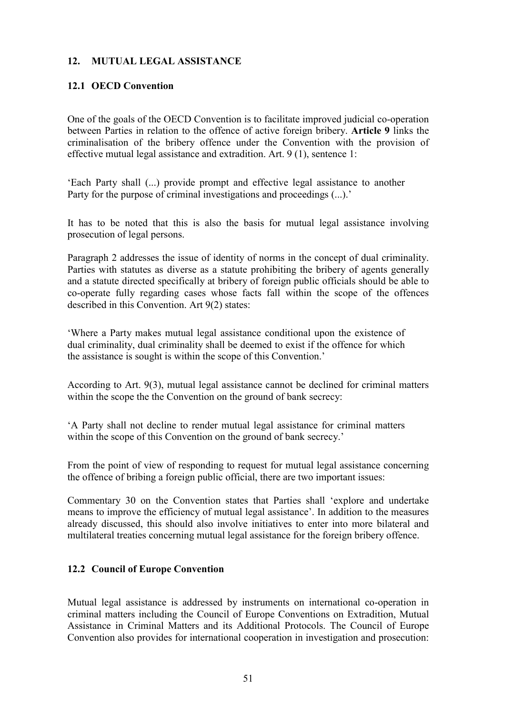# **12. MUTUAL LEGAL ASSISTANCE**

# **12.1 OECD Convention**

One of the goals of the OECD Convention is to facilitate improved judicial co-operation between Parties in relation to the offence of active foreign bribery. **Article 9** links the criminalisation of the bribery offence under the Convention with the provision of effective mutual legal assistance and extradition. Art. 9 (1), sentence 1:

'Each Party shall (...) provide prompt and effective legal assistance to another Party for the purpose of criminal investigations and proceedings  $(...).'$ 

It has to be noted that this is also the basis for mutual legal assistance involving prosecution of legal persons.

Paragraph 2 addresses the issue of identity of norms in the concept of dual criminality. Parties with statutes as diverse as a statute prohibiting the bribery of agents generally and a statute directed specifically at bribery of foreign public officials should be able to co-operate fully regarding cases whose facts fall within the scope of the offences described in this Convention. Art 9(2) states:

'Where a Party makes mutual legal assistance conditional upon the existence of dual criminality, dual criminality shall be deemed to exist if the offence for which the assistance is sought is within the scope of this Convention.'

According to Art. 9(3), mutual legal assistance cannot be declined for criminal matters within the scope the the Convention on the ground of bank secrecy:

'A Party shall not decline to render mutual legal assistance for criminal matters within the scope of this Convention on the ground of bank secrecy.'

From the point of view of responding to request for mutual legal assistance concerning the offence of bribing a foreign public official, there are two important issues:

Commentary 30 on the Convention states that Parties shall 'explore and undertake means to improve the efficiency of mutual legal assistance'. In addition to the measures already discussed, this should also involve initiatives to enter into more bilateral and multilateral treaties concerning mutual legal assistance for the foreign bribery offence.

#### **12.2 Council of Europe Convention**

Mutual legal assistance is addressed by instruments on international co-operation in criminal matters including the Council of Europe Conventions on Extradition, Mutual Assistance in Criminal Matters and its Additional Protocols. The Council of Europe Convention also provides for international cooperation in investigation and prosecution: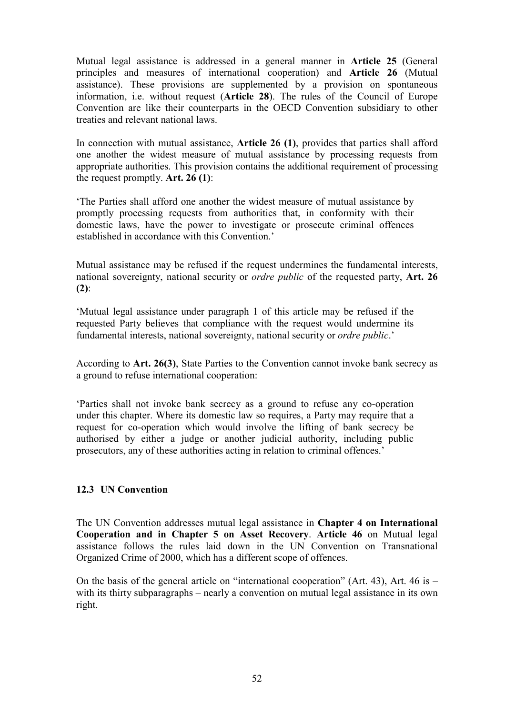Mutual legal assistance is addressed in a general manner in **Article 25** (General principles and measures of international cooperation) and **Article 26** (Mutual assistance). These provisions are supplemented by a provision on spontaneous information, i.e. without request (**Article 28**). The rules of the Council of Europe Convention are like their counterparts in the OECD Convention subsidiary to other treaties and relevant national laws.

In connection with mutual assistance, **Article 26 (1)**, provides that parties shall afford one another the widest measure of mutual assistance by processing requests from appropriate authorities. This provision contains the additional requirement of processing the request promptly. **Art. 26 (1)**:

'The Parties shall afford one another the widest measure of mutual assistance by promptly processing requests from authorities that, in conformity with their domestic laws, have the power to investigate or prosecute criminal offences established in accordance with this Convention.'

Mutual assistance may be refused if the request undermines the fundamental interests, national sovereignty, national security or *ordre public* of the requested party, **Art. 26 (2)**:

'Mutual legal assistance under paragraph 1 of this article may be refused if the requested Party believes that compliance with the request would undermine its fundamental interests, national sovereignty, national security or *ordre public*.'

According to **Art. 26(3)**, State Parties to the Convention cannot invoke bank secrecy as a ground to refuse international cooperation:

'Parties shall not invoke bank secrecy as a ground to refuse any co-operation under this chapter. Where its domestic law so requires, a Party may require that a request for co-operation which would involve the lifting of bank secrecy be authorised by either a judge or another judicial authority, including public prosecutors, any of these authorities acting in relation to criminal offences.'

#### **12.3 UN Convention**

The UN Convention addresses mutual legal assistance in **Chapter 4 on International Cooperation and in Chapter 5 on Asset Recovery**. **Article 46** on Mutual legal assistance follows the rules laid down in the UN Convention on Transnational Organized Crime of 2000, which has a different scope of offences.

On the basis of the general article on "international cooperation" (Art. 43), Art. 46 is – with its thirty subparagraphs – nearly a convention on mutual legal assistance in its own right.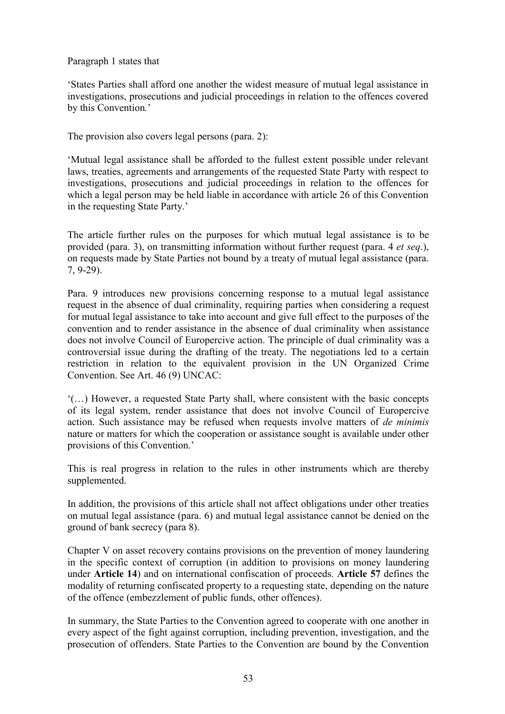Paragraph 1 states that

'States Parties shall afford one another the widest measure of mutual legal assistance in investigations, prosecutions and judicial proceedings in relation to the offences covered by this Convention*.*'

The provision also covers legal persons (para. 2):

'Mutual legal assistance shall be afforded to the fullest extent possible under relevant laws, treaties, agreements and arrangements of the requested State Party with respect to investigations, prosecutions and judicial proceedings in relation to the offences for which a legal person may be held liable in accordance with article 26 of this Convention in the requesting State Party.'

The article further rules on the purposes for which mutual legal assistance is to be provided (para. 3), on transmitting information without further request (para. 4 *et seq*.), on requests made by State Parties not bound by a treaty of mutual legal assistance (para. 7, 9-29).

Para. 9 introduces new provisions concerning response to a mutual legal assistance request in the absence of dual criminality, requiring parties when considering a request for mutual legal assistance to take into account and give full effect to the purposes of the convention and to render assistance in the absence of dual criminality when assistance does not involve Council of Europercive action. The principle of dual criminality was a controversial issue during the drafting of the treaty. The negotiations led to a certain restriction in relation to the equivalent provision in the UN Organized Crime Convention. See Art. 46 (9) UNCAC:

'(…) However, a requested State Party shall, where consistent with the basic concepts of its legal system, render assistance that does not involve Council of Europercive action. Such assistance may be refused when requests involve matters of *de minimis* nature or matters for which the cooperation or assistance sought is available under other provisions of this Convention.'

This is real progress in relation to the rules in other instruments which are thereby supplemented.

In addition, the provisions of this article shall not affect obligations under other treaties on mutual legal assistance (para. 6) and mutual legal assistance cannot be denied on the ground of bank secrecy (para 8).

Chapter V on asset recovery contains provisions on the prevention of money laundering in the specific context of corruption (in addition to provisions on money laundering under **Article 14**) and on international confiscation of proceeds. **Article 57** defines the modality of returning confiscated property to a requesting state, depending on the nature of the offence (embezzlement of public funds, other offences).

In summary, the State Parties to the Convention agreed to cooperate with one another in every aspect of the fight against corruption, including prevention, investigation, and the prosecution of offenders. State Parties to the Convention are bound by the Convention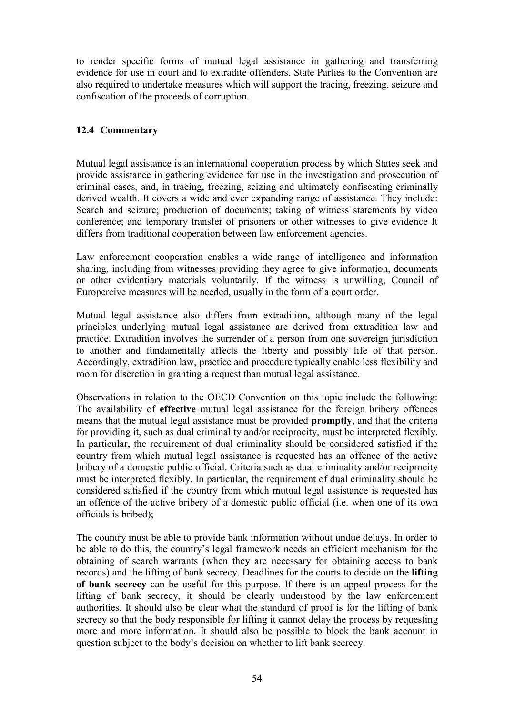to render specific forms of mutual legal assistance in gathering and transferring evidence for use in court and to extradite offenders. State Parties to the Convention are also required to undertake measures which will support the tracing, freezing, seizure and confiscation of the proceeds of corruption.

# **12.4 Commentary**

Mutual legal assistance is an international cooperation process by which States seek and provide assistance in gathering evidence for use in the investigation and prosecution of criminal cases, and, in tracing, freezing, seizing and ultimately confiscating criminally derived wealth. It covers a wide and ever expanding range of assistance. They include: Search and seizure; production of documents; taking of witness statements by video conference; and temporary transfer of prisoners or other witnesses to give evidence It differs from traditional cooperation between law enforcement agencies.

Law enforcement cooperation enables a wide range of intelligence and information sharing, including from witnesses providing they agree to give information, documents or other evidentiary materials voluntarily. If the witness is unwilling, Council of Europercive measures will be needed, usually in the form of a court order.

Mutual legal assistance also differs from extradition, although many of the legal principles underlying mutual legal assistance are derived from extradition law and practice. Extradition involves the surrender of a person from one sovereign jurisdiction to another and fundamentally affects the liberty and possibly life of that person. Accordingly, extradition law, practice and procedure typically enable less flexibility and room for discretion in granting a request than mutual legal assistance.

Observations in relation to the OECD Convention on this topic include the following: The availability of **effective** mutual legal assistance for the foreign bribery offences means that the mutual legal assistance must be provided **promptly**, and that the criteria for providing it, such as dual criminality and/or reciprocity, must be interpreted flexibly. In particular, the requirement of dual criminality should be considered satisfied if the country from which mutual legal assistance is requested has an offence of the active bribery of a domestic public official. Criteria such as dual criminality and/or reciprocity must be interpreted flexibly. In particular, the requirement of dual criminality should be considered satisfied if the country from which mutual legal assistance is requested has an offence of the active bribery of a domestic public official (i.e. when one of its own officials is bribed);

The country must be able to provide bank information without undue delays. In order to be able to do this, the country's legal framework needs an efficient mechanism for the obtaining of search warrants (when they are necessary for obtaining access to bank records) and the lifting of bank secrecy. Deadlines for the courts to decide on the **lifting of bank secrecy** can be useful for this purpose. If there is an appeal process for the lifting of bank secrecy, it should be clearly understood by the law enforcement authorities. It should also be clear what the standard of proof is for the lifting of bank secrecy so that the body responsible for lifting it cannot delay the process by requesting more and more information. It should also be possible to block the bank account in question subject to the body's decision on whether to lift bank secrecy.